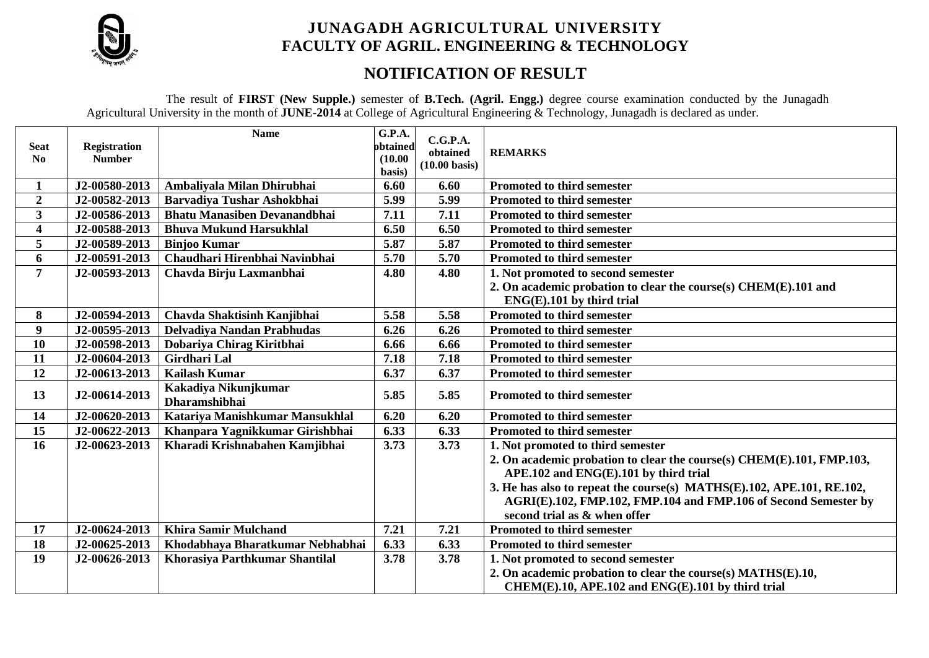

## **JUNAGADH AGRICULTURAL UNIVERSITY FACULTY OF AGRIL. ENGINEERING & TECHNOLOGY**

## **NOTIFICATION OF RESULT**

The result of **FIRST (New Supple.)** semester of **B.Tech. (Agril. Engg.)** degree course examination conducted by the Junagadh Agricultural University in the month of **JUNE-2014** at College of Agricultural Engineering & Technology, Junagadh is declared as under.

| <b>Seat</b><br>N <sub>0</sub> | <b>Registration</b><br><b>Number</b> | <b>Name</b>                                  | G.P.A.<br>obtained<br>(10.00)<br>basis) | C.G.P.A.<br>obtained<br>$(10.00 \text{ basis})$ | <b>REMARKS</b>                                                        |
|-------------------------------|--------------------------------------|----------------------------------------------|-----------------------------------------|-------------------------------------------------|-----------------------------------------------------------------------|
| 1                             | J2-00580-2013                        | Ambaliyala Milan Dhirubhai                   | 6.60                                    | 6.60                                            | <b>Promoted to third semester</b>                                     |
| $\overline{2}$                | J2-00582-2013                        | <b>Barvadiya Tushar Ashokbhai</b>            | 5.99                                    | 5.99                                            | <b>Promoted to third semester</b>                                     |
| $\overline{\mathbf{3}}$       | J2-00586-2013                        | <b>Bhatu Manasiben Devanandbhai</b>          | 7.11                                    | 7.11                                            | <b>Promoted to third semester</b>                                     |
| $\overline{\mathbf{4}}$       | J2-00588-2013                        | <b>Bhuva Mukund Harsukhlal</b>               | 6.50                                    | 6.50                                            | <b>Promoted to third semester</b>                                     |
| 5                             | J2-00589-2013                        | <b>Binjoo Kumar</b>                          | 5.87                                    | 5.87                                            | <b>Promoted to third semester</b>                                     |
| 6                             | J2-00591-2013                        | Chaudhari Hirenbhai Navinbhai                | 5.70                                    | 5.70                                            | <b>Promoted to third semester</b>                                     |
| $\overline{7}$                | J2-00593-2013                        | Chavda Birju Laxmanbhai                      | 4.80                                    | 4.80                                            | 1. Not promoted to second semester                                    |
|                               |                                      |                                              |                                         |                                                 | 2. On academic probation to clear the course(s) CHEM(E).101 and       |
|                               |                                      |                                              |                                         |                                                 | $ENG(E).101$ by third trial                                           |
| 8                             | J2-00594-2013                        | Chavda Shaktisinh Kanjibhai                  | 5.58                                    | 5.58                                            | <b>Promoted to third semester</b>                                     |
| $\boldsymbol{9}$              | J2-00595-2013                        | Delvadiya Nandan Prabhudas                   | 6.26                                    | 6.26                                            | <b>Promoted to third semester</b>                                     |
| 10                            | J2-00598-2013                        | Dobariya Chirag Kiritbhai                    | 6.66                                    | 6.66                                            | <b>Promoted to third semester</b>                                     |
| 11                            | J2-00604-2013                        | <b>Girdhari Lal</b>                          | 7.18                                    | 7.18                                            | <b>Promoted to third semester</b>                                     |
| 12                            | J2-00613-2013                        | <b>Kailash Kumar</b>                         | 6.37                                    | 6.37                                            | <b>Promoted to third semester</b>                                     |
| 13                            | J2-00614-2013                        | Kakadiya Nikunjkumar<br><b>Dharamshibhai</b> | 5.85                                    | 5.85                                            | <b>Promoted to third semester</b>                                     |
| 14                            | J2-00620-2013                        | Katariya Manishkumar Mansukhlal              | 6.20                                    | 6.20                                            | <b>Promoted to third semester</b>                                     |
| $\overline{15}$               | J2-00622-2013                        | Khanpara Yagnikkumar Girishbhai              | 6.33                                    | 6.33                                            | <b>Promoted to third semester</b>                                     |
| 16                            | J2-00623-2013                        | Kharadi Krishnabahen Kamjibhai               | 3.73                                    | 3.73                                            | 1. Not promoted to third semester                                     |
|                               |                                      |                                              |                                         |                                                 | 2. On academic probation to clear the course(s) CHEM(E).101, FMP.103, |
|                               |                                      |                                              |                                         |                                                 | $APE.102$ and $ENG(E).101$ by third trial                             |
|                               |                                      |                                              |                                         |                                                 | 3. He has also to repeat the course(s) MATHS(E).102, APE.101, RE.102, |
|                               |                                      |                                              |                                         |                                                 | AGRI(E).102, FMP.102, FMP.104 and FMP.106 of Second Semester by       |
|                               |                                      |                                              |                                         |                                                 | second trial as & when offer                                          |
| 17                            | J2-00624-2013                        | <b>Khira Samir Mulchand</b>                  | 7.21                                    | 7.21                                            | Promoted to third semester                                            |
| 18                            | J2-00625-2013                        | Khodabhaya Bharatkumar Nebhabhai             | 6.33                                    | 6.33                                            | <b>Promoted to third semester</b>                                     |
| 19                            | J2-00626-2013                        | Khorasiya Parthkumar Shantilal               | 3.78                                    | 3.78                                            | 1. Not promoted to second semester                                    |
|                               |                                      |                                              |                                         |                                                 | 2. On academic probation to clear the course(s) MATHS(E).10,          |
|                               |                                      |                                              |                                         |                                                 | CHEM(E).10, APE.102 and ENG(E).101 by third trial                     |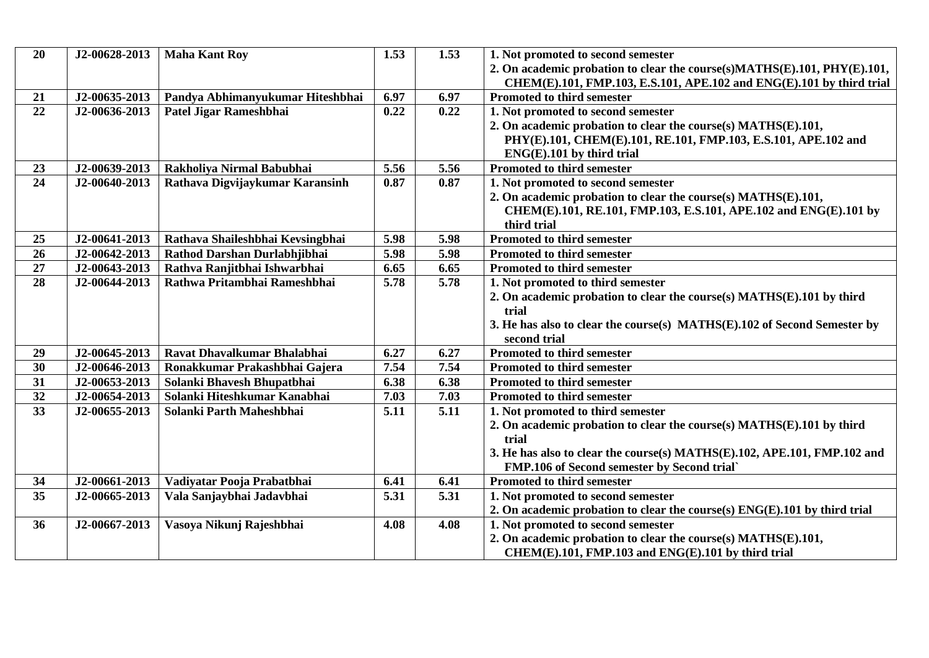| 20              | J2-00628-2013 | <b>Maha Kant Roy</b>             | 1.53 | 1.53 | 1. Not promoted to second semester                                        |
|-----------------|---------------|----------------------------------|------|------|---------------------------------------------------------------------------|
|                 |               |                                  |      |      | 2. On academic probation to clear the course(s)MATHS(E).101, PHY(E).101,  |
|                 |               |                                  |      |      | CHEM(E).101, FMP.103, E.S.101, APE.102 and ENG(E).101 by third trial      |
| 21              | J2-00635-2013 | Pandya Abhimanyukumar Hiteshbhai | 6.97 | 6.97 | Promoted to third semester                                                |
| $\overline{22}$ | J2-00636-2013 | Patel Jigar Rameshbhai           | 0.22 | 0.22 | 1. Not promoted to second semester                                        |
|                 |               |                                  |      |      | 2. On academic probation to clear the course(s) MATHS(E).101,             |
|                 |               |                                  |      |      | PHY(E).101, CHEM(E).101, RE.101, FMP.103, E.S.101, APE.102 and            |
|                 |               |                                  |      |      | $ENG(E)$ .101 by third trial                                              |
| 23              | J2-00639-2013 | Rakholiya Nirmal Babubhai        | 5.56 | 5.56 | <b>Promoted to third semester</b>                                         |
| 24              | J2-00640-2013 | Rathava Digvijaykumar Karansinh  | 0.87 | 0.87 | 1. Not promoted to second semester                                        |
|                 |               |                                  |      |      | 2. On academic probation to clear the course(s) MATHS(E).101,             |
|                 |               |                                  |      |      | CHEM(E).101, RE.101, FMP.103, E.S.101, APE.102 and ENG(E).101 by          |
|                 |               |                                  |      |      | third trial                                                               |
| 25              | J2-00641-2013 | Rathava Shaileshbhai Kevsingbhai | 5.98 | 5.98 | <b>Promoted to third semester</b>                                         |
| 26              | J2-00642-2013 | Rathod Darshan Durlabhjibhai     | 5.98 | 5.98 | <b>Promoted to third semester</b>                                         |
| 27              | J2-00643-2013 | Rathva Ranjitbhai Ishwarbhai     | 6.65 | 6.65 | <b>Promoted to third semester</b>                                         |
| 28              | J2-00644-2013 | Rathwa Pritambhai Rameshbhai     | 5.78 | 5.78 | 1. Not promoted to third semester                                         |
|                 |               |                                  |      |      | 2. On academic probation to clear the course(s) MATHS(E).101 by third     |
|                 |               |                                  |      |      | trial                                                                     |
|                 |               |                                  |      |      | 3. He has also to clear the course(s) MATHS(E).102 of Second Semester by  |
|                 |               |                                  |      |      | second trial                                                              |
| 29              | J2-00645-2013 | Ravat Dhavalkumar Bhalabhai      | 6.27 | 6.27 | <b>Promoted to third semester</b>                                         |
| 30              | J2-00646-2013 | Ronakkumar Prakashbhai Gajera    | 7.54 | 7.54 | <b>Promoted to third semester</b>                                         |
| 31              | J2-00653-2013 | Solanki Bhavesh Bhupatbhai       | 6.38 | 6.38 | <b>Promoted to third semester</b>                                         |
| 32              | J2-00654-2013 | Solanki Hiteshkumar Kanabhai     | 7.03 | 7.03 | <b>Promoted to third semester</b>                                         |
| 33              | J2-00655-2013 | Solanki Parth Maheshbhai         | 5.11 | 5.11 | 1. Not promoted to third semester                                         |
|                 |               |                                  |      |      | 2. On academic probation to clear the course(s) MATHS(E).101 by third     |
|                 |               |                                  |      |      | trial                                                                     |
|                 |               |                                  |      |      | 3. He has also to clear the course(s) MATHS(E).102, APE.101, FMP.102 and  |
|                 |               |                                  |      |      | FMP.106 of Second semester by Second trial`                               |
| 34              | J2-00661-2013 | Vadiyatar Pooja Prabatbhai       | 6.41 | 6.41 | <b>Promoted to third semester</b>                                         |
| 35              | J2-00665-2013 | Vala Sanjaybhai Jadavbhai        | 5.31 | 5.31 | 1. Not promoted to second semester                                        |
|                 |               |                                  |      |      | 2. On academic probation to clear the course(s) ENG(E).101 by third trial |
| 36              | J2-00667-2013 | Vasoya Nikunj Rajeshbhai         | 4.08 | 4.08 | 1. Not promoted to second semester                                        |
|                 |               |                                  |      |      | 2. On academic probation to clear the course(s) MATHS(E).101,             |
|                 |               |                                  |      |      | $CHEM(E)$ .101, FMP.103 and $ENG(E)$ .101 by third trial                  |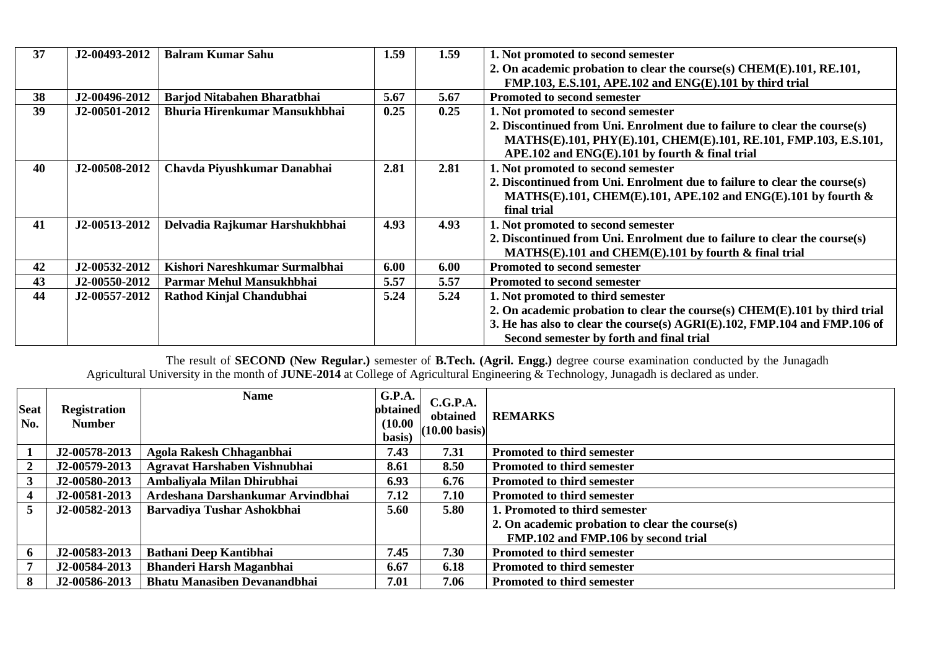| 37 | J2-00493-2012        | <b>Balram Kumar Sahu</b>       | 1.59 | 1.59 | 1. Not promoted to second semester                                         |
|----|----------------------|--------------------------------|------|------|----------------------------------------------------------------------------|
|    |                      |                                |      |      | 2. On academic probation to clear the course(s) CHEM(E).101, RE.101,       |
|    |                      |                                |      |      | $FMP.103$ , E.S.101, APE.102 and $ENG(E).101$ by third trial               |
| 38 | J2-00496-2012        | Barjod Nitabahen Bharatbhai    | 5.67 | 5.67 | <b>Promoted to second semester</b>                                         |
| 39 | J2-00501-2012        | Bhuria Hirenkumar Mansukhbhai  | 0.25 | 0.25 | 1. Not promoted to second semester                                         |
|    |                      |                                |      |      | 2. Discontinued from Uni. Enrolment due to failure to clear the course(s)  |
|    |                      |                                |      |      | MATHS(E).101, PHY(E).101, CHEM(E).101, RE.101, FMP.103, E.S.101,           |
|    |                      |                                |      |      | APE.102 and $ENG(E)$ .101 by fourth & final trial                          |
| 40 | J2-00508-2012        | Chavda Piyushkumar Danabhai    | 2.81 | 2.81 | 1. Not promoted to second semester                                         |
|    |                      |                                |      |      | 2. Discontinued from Uni. Enrolment due to failure to clear the course(s)  |
|    |                      |                                |      |      | MATHS(E).101, CHEM(E).101, APE.102 and ENG(E).101 by fourth $\&$           |
|    |                      |                                |      |      | final trial                                                                |
| 41 | <b>J2-00513-2012</b> | Delvadia Rajkumar Harshukhbhai | 4.93 | 4.93 | 1. Not promoted to second semester                                         |
|    |                      |                                |      |      | 2. Discontinued from Uni. Enrolment due to failure to clear the course(s)  |
|    |                      |                                |      |      | $MATHS(E).101$ and $CHEM(E).101$ by fourth & final trial                   |
| 42 | J2-00532-2012        | Kishori Nareshkumar Surmalbhai | 6.00 | 6.00 | <b>Promoted to second semester</b>                                         |
| 43 | J2-00550-2012        | Parmar Mehul Mansukhbhai       | 5.57 | 5.57 | <b>Promoted to second semester</b>                                         |
| 44 | J2-00557-2012        | Rathod Kinjal Chandubhai       | 5.24 | 5.24 | 1. Not promoted to third semester                                          |
|    |                      |                                |      |      | 2. On academic probation to clear the course(s) CHEM(E).101 by third trial |
|    |                      |                                |      |      | 3. He has also to clear the course(s) AGRI(E).102, FMP.104 and FMP.106 of  |
|    |                      |                                |      |      | Second semester by forth and final trial                                   |

The result of **SECOND (New Regular.)** semester of **B.Tech. (Agril. Engg.)** degree course examination conducted by the Junagadh Agricultural University in the month of **JUNE-2014** at College of Agricultural Engineering & Technology, Junagadh is declared as under.

| <b>Seat</b><br>No. | <b>Registration</b><br><b>Number</b> | <b>Name</b>                         | G.P.A.<br>obtained<br>(10.00)<br>basis) | C.G.P.A.<br>obtained<br>$(10.00 \text{ basis})$ | <b>REMARKS</b>                                  |
|--------------------|--------------------------------------|-------------------------------------|-----------------------------------------|-------------------------------------------------|-------------------------------------------------|
|                    | J2-00578-2013                        | Agola Rakesh Chhaganbhai            | 7.43                                    | 7.31                                            | <b>Promoted to third semester</b>               |
| $\overline{2}$     | J2-00579-2013                        | Agravat Harshaben Vishnubhai        | 8.61                                    | 8.50                                            | <b>Promoted to third semester</b>               |
| 3                  | J2-00580-2013                        | Ambaliyala Milan Dhirubhai          | 6.93                                    | 6.76                                            | <b>Promoted to third semester</b>               |
| 4                  | J2-00581-2013                        | Ardeshana Darshankumar Arvindbhai   | 7.12                                    | 7.10                                            | <b>Promoted to third semester</b>               |
| 5                  | J2-00582-2013                        | Barvadiya Tushar Ashokbhai          | 5.60                                    | 5.80                                            | 1. Promoted to third semester                   |
|                    |                                      |                                     |                                         |                                                 | 2. On academic probation to clear the course(s) |
|                    |                                      |                                     |                                         |                                                 | FMP.102 and FMP.106 by second trial             |
| 6                  | J2-00583-2013                        | <b>Bathani Deep Kantibhai</b>       | 7.45                                    | 7.30                                            | <b>Promoted to third semester</b>               |
| 7                  | J2-00584-2013                        | <b>Bhanderi Harsh Maganbhai</b>     | 6.67                                    | 6.18                                            | <b>Promoted to third semester</b>               |
| 8                  | J2-00586-2013                        | <b>Bhatu Manasiben Devanandbhai</b> | 7.01                                    | 7.06                                            | <b>Promoted to third semester</b>               |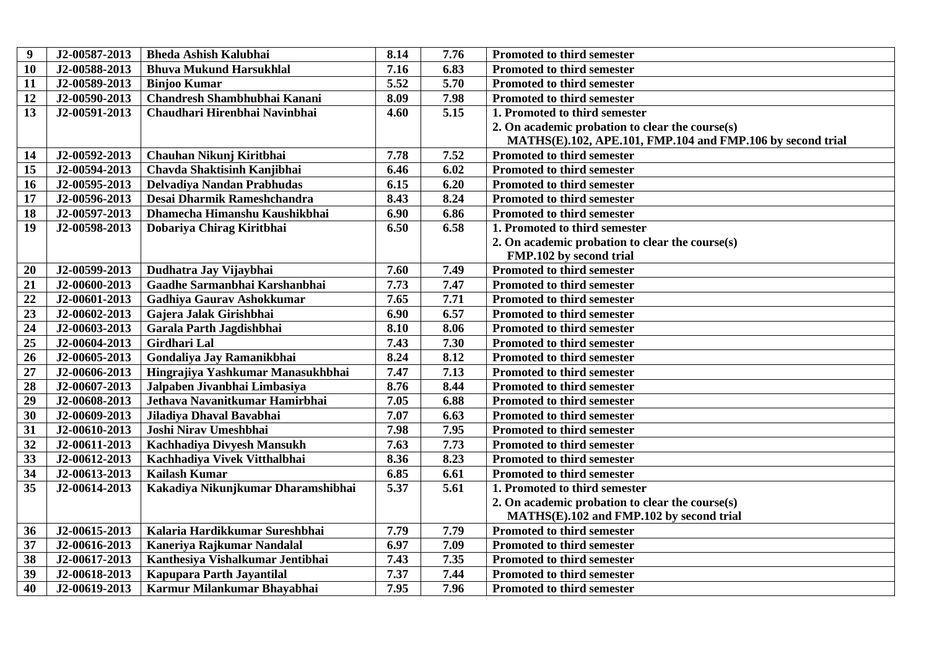| $\boldsymbol{9}$ | J2-00587-2013               | <b>Bheda Ashish Kalubhai</b>        | 8.14 | 7.76 | <b>Promoted to third semester</b>                          |
|------------------|-----------------------------|-------------------------------------|------|------|------------------------------------------------------------|
| 10               | J2-00588-2013               | <b>Bhuva Mukund Harsukhlal</b>      | 7.16 | 6.83 | <b>Promoted to third semester</b>                          |
| 11               | $\overline{J}2$ -00589-2013 | <b>Binjoo Kumar</b>                 | 5.52 | 5.70 | Promoted to third semester                                 |
| 12               | J2-00590-2013               | <b>Chandresh Shambhubhai Kanani</b> | 8.09 | 7.98 | <b>Promoted to third semester</b>                          |
| 13               | J2-00591-2013               | Chaudhari Hirenbhai Navinbhai       | 4.60 | 5.15 | 1. Promoted to third semester                              |
|                  |                             |                                     |      |      | 2. On academic probation to clear the course(s)            |
|                  |                             |                                     |      |      | MATHS(E).102, APE.101, FMP.104 and FMP.106 by second trial |
| 14               | J2-00592-2013               | Chauhan Nikunj Kiritbhai            | 7.78 | 7.52 | <b>Promoted to third semester</b>                          |
| 15               | J2-00594-2013               | Chavda Shaktisinh Kanjibhai         | 6.46 | 6.02 | <b>Promoted to third semester</b>                          |
| <b>16</b>        | J2-00595-2013               | Delvadiya Nandan Prabhudas          | 6.15 | 6.20 | <b>Promoted to third semester</b>                          |
| 17               | J2-00596-2013               | Desai Dharmik Rameshchandra         | 8.43 | 8.24 | <b>Promoted to third semester</b>                          |
| 18               | J2-00597-2013               | Dhamecha Himanshu Kaushikbhai       | 6.90 | 6.86 | <b>Promoted to third semester</b>                          |
| 19               | J2-00598-2013               | Dobariya Chirag Kiritbhai           | 6.50 | 6.58 | 1. Promoted to third semester                              |
|                  |                             |                                     |      |      | 2. On academic probation to clear the course(s)            |
|                  |                             |                                     |      |      | FMP.102 by second trial                                    |
| 20               | J2-00599-2013               | Dudhatra Jay Vijaybhai              | 7.60 | 7.49 | Promoted to third semester                                 |
| 21               | J2-00600-2013               | Gaadhe Sarmanbhai Karshanbhai       | 7.73 | 7.47 | <b>Promoted to third semester</b>                          |
| 22               | J2-00601-2013               | Gadhiya Gauray Ashokkumar           | 7.65 | 7.71 | <b>Promoted to third semester</b>                          |
| 23               | J2-00602-2013               | Gajera Jalak Girishbhai             | 6.90 | 6.57 | <b>Promoted to third semester</b>                          |
| 24               | J2-00603-2013               | Garala Parth Jagdishbhai            | 8.10 | 8.06 | <b>Promoted to third semester</b>                          |
| $\overline{25}$  | J2-00604-2013               | <b>Girdhari Lal</b>                 | 7.43 | 7.30 | <b>Promoted to third semester</b>                          |
| 26               | J2-00605-2013               | Gondaliya Jay Ramanikbhai           | 8.24 | 8.12 | <b>Promoted to third semester</b>                          |
| 27               | J2-00606-2013               | Hingrajiya Yashkumar Manasukhbhai   | 7.47 | 7.13 | <b>Promoted to third semester</b>                          |
| 28               | J2-00607-2013               | Jalpaben Jivanbhai Limbasiya        | 8.76 | 8.44 | <b>Promoted to third semester</b>                          |
| 29               | J2-00608-2013               | Jethava Navanitkumar Hamirbhai      | 7.05 | 6.88 | <b>Promoted to third semester</b>                          |
| 30               | J2-00609-2013               | Jiladiya Dhaval Bavabhai            | 7.07 | 6.63 | <b>Promoted to third semester</b>                          |
| 31               | J2-00610-2013               | Joshi Nirav Umeshbhai               | 7.98 | 7.95 | <b>Promoted to third semester</b>                          |
| 32               | J2-00611-2013               | Kachhadiya Divyesh Mansukh          | 7.63 | 7.73 | <b>Promoted to third semester</b>                          |
| 33               | J2-00612-2013               | Kachhadiya Vivek Vitthalbhai        | 8.36 | 8.23 | <b>Promoted to third semester</b>                          |
| 34               | J2-00613-2013               | <b>Kailash Kumar</b>                | 6.85 | 6.61 | <b>Promoted to third semester</b>                          |
| 35               | J2-00614-2013               | Kakadiya Nikunjkumar Dharamshibhai  | 5.37 | 5.61 | 1. Promoted to third semester                              |
|                  |                             |                                     |      |      | 2. On academic probation to clear the course(s)            |
|                  |                             |                                     |      |      | MATHS(E).102 and FMP.102 by second trial                   |
| 36               | J2-00615-2013               | Kalaria Hardikkumar Sureshbhai      | 7.79 | 7.79 | <b>Promoted to third semester</b>                          |
| 37               | J2-00616-2013               | Kaneriya Rajkumar Nandalal          | 6.97 | 7.09 | <b>Promoted to third semester</b>                          |
| 38               | J2-00617-2013               | Kanthesiya Vishalkumar Jentibhai    | 7.43 | 7.35 | <b>Promoted to third semester</b>                          |
| 39               | J2-00618-2013               | Kapupara Parth Jayantilal           | 7.37 | 7.44 | <b>Promoted to third semester</b>                          |
| 40               | J2-00619-2013               | Karmur Milankumar Bhayabhai         | 7.95 | 7.96 | <b>Promoted to third semester</b>                          |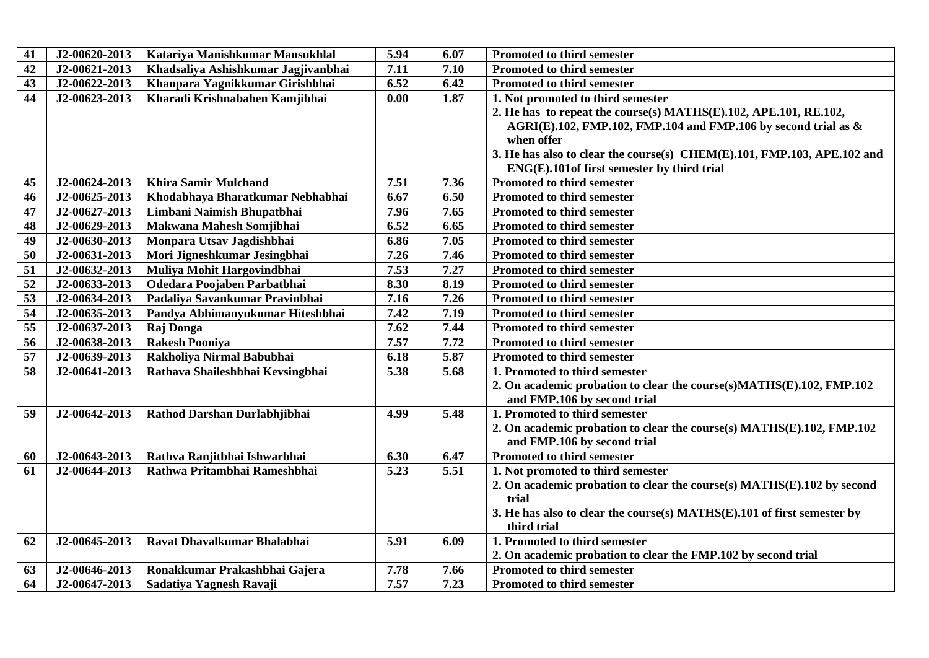| 41 | J2-00620-2013 | Katariya Manishkumar Mansukhlal     | 5.94 | 6.07 | <b>Promoted to third semester</b>                                       |
|----|---------------|-------------------------------------|------|------|-------------------------------------------------------------------------|
| 42 | J2-00621-2013 | Khadsaliya Ashishkumar Jagjivanbhai | 7.11 | 7.10 | <b>Promoted to third semester</b>                                       |
| 43 | J2-00622-2013 | Khanpara Yagnikkumar Girishbhai     | 6.52 | 6.42 | <b>Promoted to third semester</b>                                       |
| 44 | J2-00623-2013 | Kharadi Krishnabahen Kamjibhai      | 0.00 | 1.87 | 1. Not promoted to third semester                                       |
|    |               |                                     |      |      | 2. He has to repeat the course(s) MATHS(E).102, APE.101, RE.102,        |
|    |               |                                     |      |      | $AGRI(E)$ .102, FMP.102, FMP.104 and FMP.106 by second trial as $\&$    |
|    |               |                                     |      |      | when offer                                                              |
|    |               |                                     |      |      | 3. He has also to clear the course(s) CHEM(E).101, FMP.103, APE.102 and |
|    |               |                                     |      |      | ENG(E).101of first semester by third trial                              |
| 45 | J2-00624-2013 | <b>Khira Samir Mulchand</b>         | 7.51 | 7.36 | <b>Promoted to third semester</b>                                       |
| 46 | J2-00625-2013 | Khodabhaya Bharatkumar Nebhabhai    | 6.67 | 6.50 | <b>Promoted to third semester</b>                                       |
| 47 | J2-00627-2013 | Limbani Naimish Bhupatbhai          | 7.96 | 7.65 | Promoted to third semester                                              |
| 48 | J2-00629-2013 | Makwana Mahesh Somjibhai            | 6.52 | 6.65 | <b>Promoted to third semester</b>                                       |
| 49 | J2-00630-2013 | Monpara Utsav Jagdishbhai           | 6.86 | 7.05 | <b>Promoted to third semester</b>                                       |
| 50 | J2-00631-2013 | Mori Jigneshkumar Jesingbhai        | 7.26 | 7.46 | <b>Promoted to third semester</b>                                       |
| 51 | J2-00632-2013 | Muliya Mohit Hargovindbhai          | 7.53 | 7.27 | <b>Promoted to third semester</b>                                       |
| 52 | J2-00633-2013 | Odedara Poojaben Parbatbhai         | 8.30 | 8.19 | Promoted to third semester                                              |
| 53 | J2-00634-2013 | Padaliya Savankumar Pravinbhai      | 7.16 | 7.26 | Promoted to third semester                                              |
| 54 | J2-00635-2013 | Pandya Abhimanyukumar Hiteshbhai    | 7.42 | 7.19 | <b>Promoted to third semester</b>                                       |
| 55 | J2-00637-2013 | Raj Donga                           | 7.62 | 7.44 | <b>Promoted to third semester</b>                                       |
| 56 | J2-00638-2013 | <b>Rakesh Pooniya</b>               | 7.57 | 7.72 | <b>Promoted to third semester</b>                                       |
| 57 | J2-00639-2013 | Rakholiya Nirmal Babubhai           | 6.18 | 5.87 | <b>Promoted to third semester</b>                                       |
| 58 | J2-00641-2013 | Rathava Shaileshbhai Kevsingbhai    | 5.38 | 5.68 | 1. Promoted to third semester                                           |
|    |               |                                     |      |      | 2. On academic probation to clear the course(s)MATHS(E).102, FMP.102    |
|    |               |                                     |      |      | and FMP.106 by second trial                                             |
| 59 | J2-00642-2013 | Rathod Darshan Durlabhjibhai        | 4.99 | 5.48 | 1. Promoted to third semester                                           |
|    |               |                                     |      |      | 2. On academic probation to clear the course(s) MATHS(E).102, FMP.102   |
|    |               |                                     |      |      | and FMP.106 by second trial                                             |
| 60 | J2-00643-2013 | Rathva Ranjitbhai Ishwarbhai        | 6.30 | 6.47 | <b>Promoted to third semester</b>                                       |
| 61 | J2-00644-2013 | Rathwa Pritambhai Rameshbhai        | 5.23 | 5.51 | 1. Not promoted to third semester                                       |
|    |               |                                     |      |      | 2. On academic probation to clear the course(s) MATHS(E).102 by second  |
|    |               |                                     |      |      | trial                                                                   |
|    |               |                                     |      |      | 3. He has also to clear the course(s) MATHS(E).101 of first semester by |
|    |               |                                     |      |      | third trial                                                             |
| 62 | J2-00645-2013 | Ravat Dhavalkumar Bhalabhai         | 5.91 | 6.09 | 1. Promoted to third semester                                           |
|    |               |                                     |      |      | 2. On academic probation to clear the FMP.102 by second trial           |
| 63 | J2-00646-2013 | Ronakkumar Prakashbhai Gajera       | 7.78 | 7.66 | <b>Promoted to third semester</b>                                       |
| 64 | J2-00647-2013 | Sadatiya Yagnesh Ravaji             | 7.57 | 7.23 | <b>Promoted to third semester</b>                                       |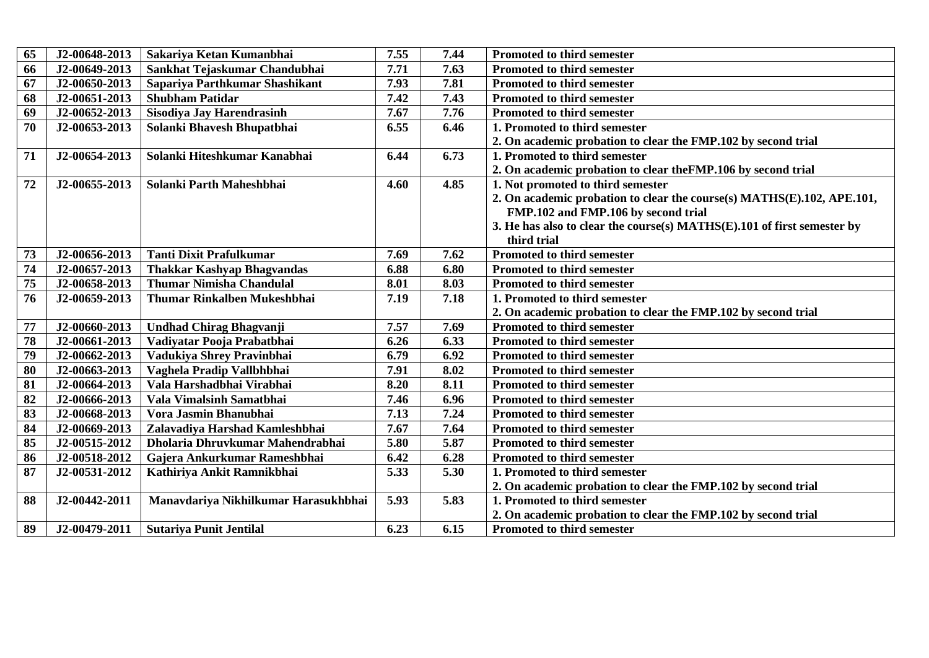| 65 | J2-00648-2013 | Sakariya Ketan Kumanbhai             | 7.55 | 7.44 | Promoted to third semester                                              |
|----|---------------|--------------------------------------|------|------|-------------------------------------------------------------------------|
| 66 | J2-00649-2013 | Sankhat Tejaskumar Chandubhai        | 7.71 | 7.63 | <b>Promoted to third semester</b>                                       |
| 67 | J2-00650-2013 | Sapariya Parthkumar Shashikant       | 7.93 | 7.81 | <b>Promoted to third semester</b>                                       |
| 68 | J2-00651-2013 | <b>Shubham Patidar</b>               | 7.42 | 7.43 | <b>Promoted to third semester</b>                                       |
| 69 | J2-00652-2013 | Sisodiya Jay Harendrasinh            | 7.67 | 7.76 | <b>Promoted to third semester</b>                                       |
| 70 | J2-00653-2013 | Solanki Bhavesh Bhupatbhai           | 6.55 | 6.46 | 1. Promoted to third semester                                           |
|    |               |                                      |      |      | 2. On academic probation to clear the FMP.102 by second trial           |
| 71 | J2-00654-2013 | Solanki Hiteshkumar Kanabhai         | 6.44 | 6.73 | 1. Promoted to third semester                                           |
|    |               |                                      |      |      | 2. On academic probation to clear the FMP.106 by second trial           |
| 72 | J2-00655-2013 | Solanki Parth Maheshbhai             | 4.60 | 4.85 | 1. Not promoted to third semester                                       |
|    |               |                                      |      |      | 2. On academic probation to clear the course(s) MATHS(E).102, APE.101,  |
|    |               |                                      |      |      | FMP.102 and FMP.106 by second trial                                     |
|    |               |                                      |      |      | 3. He has also to clear the course(s) MATHS(E).101 of first semester by |
|    |               |                                      |      |      | third trial                                                             |
| 73 | J2-00656-2013 | <b>Tanti Dixit Prafulkumar</b>       | 7.69 | 7.62 | <b>Promoted to third semester</b>                                       |
| 74 | J2-00657-2013 | <b>Thakkar Kashyap Bhagyandas</b>    | 6.88 | 6.80 | <b>Promoted to third semester</b>                                       |
| 75 | J2-00658-2013 | <b>Thumar Nimisha Chandulal</b>      | 8.01 | 8.03 | <b>Promoted to third semester</b>                                       |
| 76 | J2-00659-2013 | <b>Thumar Rinkalben Mukeshbhai</b>   | 7.19 | 7.18 | 1. Promoted to third semester                                           |
|    |               |                                      |      |      | 2. On academic probation to clear the FMP.102 by second trial           |
| 77 | J2-00660-2013 | <b>Undhad Chirag Bhagvanji</b>       | 7.57 | 7.69 | <b>Promoted to third semester</b>                                       |
| 78 | J2-00661-2013 | Vadiyatar Pooja Prabatbhai           | 6.26 | 6.33 | <b>Promoted to third semester</b>                                       |
| 79 | J2-00662-2013 | Vadukiya Shrey Pravinbhai            | 6.79 | 6.92 | <b>Promoted to third semester</b>                                       |
| 80 | J2-00663-2013 | Vaghela Pradip Vallbhbhai            | 7.91 | 8.02 | <b>Promoted to third semester</b>                                       |
| 81 | J2-00664-2013 | Vala Harshadbhai Virabhai            | 8.20 | 8.11 | <b>Promoted to third semester</b>                                       |
| 82 | J2-00666-2013 | Vala Vimalsinh Samatbhai             | 7.46 | 6.96 | <b>Promoted to third semester</b>                                       |
| 83 | J2-00668-2013 | Vora Jasmin Bhanubhai                | 7.13 | 7.24 | <b>Promoted to third semester</b>                                       |
| 84 | J2-00669-2013 | Zalavadiya Harshad Kamleshbhai       | 7.67 | 7.64 | <b>Promoted to third semester</b>                                       |
| 85 | J2-00515-2012 | Dholaria Dhruvkumar Mahendrabhai     | 5.80 | 5.87 | <b>Promoted to third semester</b>                                       |
| 86 | J2-00518-2012 | Gajera Ankurkumar Rameshbhai         | 6.42 | 6.28 | <b>Promoted to third semester</b>                                       |
| 87 | J2-00531-2012 | Kathiriya Ankit Ramnikbhai           | 5.33 | 5.30 | 1. Promoted to third semester                                           |
|    |               |                                      |      |      | 2. On academic probation to clear the FMP.102 by second trial           |
| 88 | J2-00442-2011 | Manavdariya Nikhilkumar Harasukhbhai | 5.93 | 5.83 | 1. Promoted to third semester                                           |
|    |               |                                      |      |      | 2. On academic probation to clear the FMP.102 by second trial           |
| 89 | J2-00479-2011 | <b>Sutariya Punit Jentilal</b>       | 6.23 | 6.15 | <b>Promoted to third semester</b>                                       |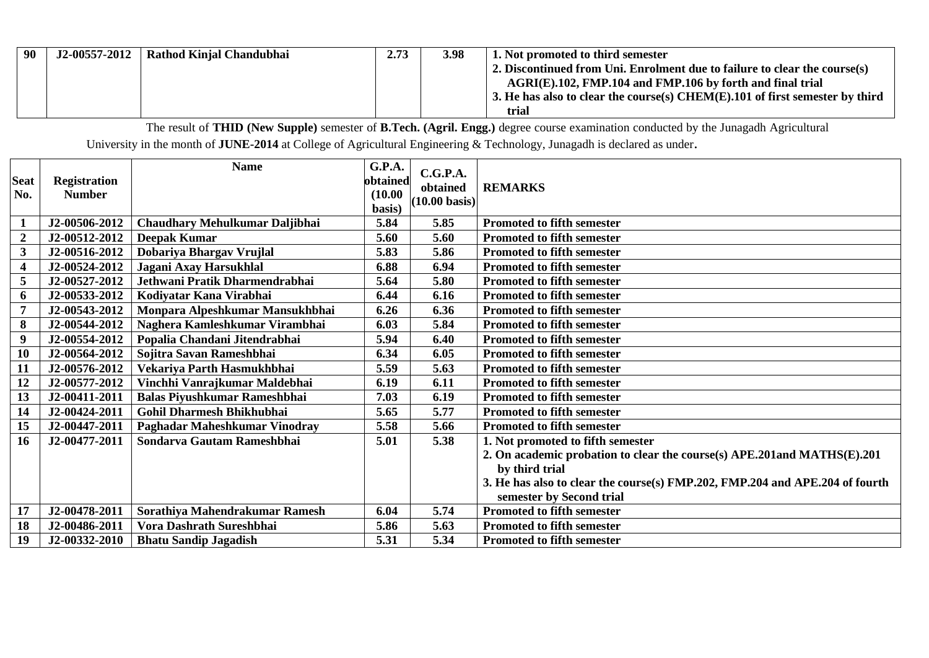| 90 | J2-00557-2012 | Rathod Kinjal Chandubhai | 2.73 | 3.98 | 1. Not promoted to third semester                                                                                                                                                                                                     |
|----|---------------|--------------------------|------|------|---------------------------------------------------------------------------------------------------------------------------------------------------------------------------------------------------------------------------------------|
|    |               |                          |      |      | 2. Discontinued from Uni. Enrolment due to failure to clear the course(s)<br>$AGRI(E)$ , 102, FMP, 104 and FMP. 106 by forth and final trial<br>3. He has also to clear the course(s) CHEM(E).101 of first semester by third<br>trial |

The result of **THID (New Supple)** semester of **B.Tech. (Agril. Engg.)** degree course examination conducted by the Junagadh Agricultural University in the month of **JUNE-2014** at College of Agricultural Engineering & Technology, Junagadh is declared as under.

| <b>Seat</b><br>No.      | <b>Registration</b><br><b>Number</b> | <b>Name</b>                         | <b>G.P.A.</b><br>obtained<br>(10.00) | C.G.P.A.<br>obtained    | <b>REMARKS</b>                                                               |
|-------------------------|--------------------------------------|-------------------------------------|--------------------------------------|-------------------------|------------------------------------------------------------------------------|
|                         |                                      |                                     | basis)                               | $(10.00 \text{ basis})$ |                                                                              |
| $\mathbf{1}$            | J2-00506-2012                        | Chaudhary Mehulkumar Daljibhai      | 5.84                                 | 5.85                    | <b>Promoted to fifth semester</b>                                            |
| $\overline{2}$          | J2-00512-2012                        | <b>Deepak Kumar</b>                 | 5.60                                 | 5.60                    | <b>Promoted to fifth semester</b>                                            |
| $\overline{\mathbf{3}}$ | J2-00516-2012                        | Dobariya Bhargav Vrujlal            | 5.83                                 | 5.86                    | <b>Promoted to fifth semester</b>                                            |
| $\overline{\mathbf{4}}$ | J2-00524-2012                        | Jagani Axay Harsukhlal              | 6.88                                 | 6.94                    | <b>Promoted to fifth semester</b>                                            |
| 5                       | J2-00527-2012                        | Jethwani Pratik Dharmendrabhai      | 5.64                                 | 5.80                    | <b>Promoted to fifth semester</b>                                            |
| 6                       | J2-00533-2012                        | Kodiyatar Kana Virabhai             | 6.44                                 | 6.16                    | <b>Promoted to fifth semester</b>                                            |
| 7                       | J2-00543-2012                        | Monpara Alpeshkumar Mansukhbhai     | 6.26                                 | 6.36                    | <b>Promoted to fifth semester</b>                                            |
| 8                       | J2-00544-2012                        | Naghera Kamleshkumar Virambhai      | 6.03                                 | 5.84                    | <b>Promoted to fifth semester</b>                                            |
| 9                       | J2-00554-2012                        | Popalia Chandani Jitendrabhai       | 5.94                                 | 6.40                    | <b>Promoted to fifth semester</b>                                            |
| 10                      | J2-00564-2012                        | Sojitra Savan Rameshbhai            | 6.34                                 | 6.05                    | <b>Promoted to fifth semester</b>                                            |
| 11                      | J2-00576-2012                        | Vekariya Parth Hasmukhbhai          | 5.59                                 | 5.63                    | <b>Promoted to fifth semester</b>                                            |
| 12                      | J2-00577-2012                        | Vinchhi Vanrajkumar Maldebhai       | 6.19                                 | 6.11                    | <b>Promoted to fifth semester</b>                                            |
| 13                      | J2-00411-2011                        | <b>Balas Piyushkumar Rameshbhai</b> | 7.03                                 | 6.19                    | <b>Promoted to fifth semester</b>                                            |
| 14                      | J2-00424-2011                        | <b>Gohil Dharmesh Bhikhubhai</b>    | 5.65                                 | 5.77                    | <b>Promoted to fifth semester</b>                                            |
| 15                      | J2-00447-2011                        | Paghadar Maheshkumar Vinodray       | 5.58                                 | 5.66                    | <b>Promoted to fifth semester</b>                                            |
| 16                      | J2-00477-2011                        | Sondarva Gautam Rameshbhai          | 5.01                                 | 5.38                    | 1. Not promoted to fifth semester                                            |
|                         |                                      |                                     |                                      |                         | 2. On academic probation to clear the course(s) APE.201 and MATHS(E).201     |
|                         |                                      |                                     |                                      |                         | by third trial                                                               |
|                         |                                      |                                     |                                      |                         | 3. He has also to clear the course(s) FMP.202, FMP.204 and APE.204 of fourth |
|                         |                                      |                                     |                                      |                         | semester by Second trial                                                     |
| 17                      | J2-00478-2011                        | Sorathiya Mahendrakumar Ramesh      | 6.04                                 | 5.74                    | <b>Promoted to fifth semester</b>                                            |
| 18                      | J2-00486-2011                        | Vora Dashrath Sureshbhai            | 5.86                                 | 5.63                    | <b>Promoted to fifth semester</b>                                            |
| 19                      | J2-00332-2010                        | <b>Bhatu Sandip Jagadish</b>        | 5.31                                 | 5.34                    | <b>Promoted to fifth semester</b>                                            |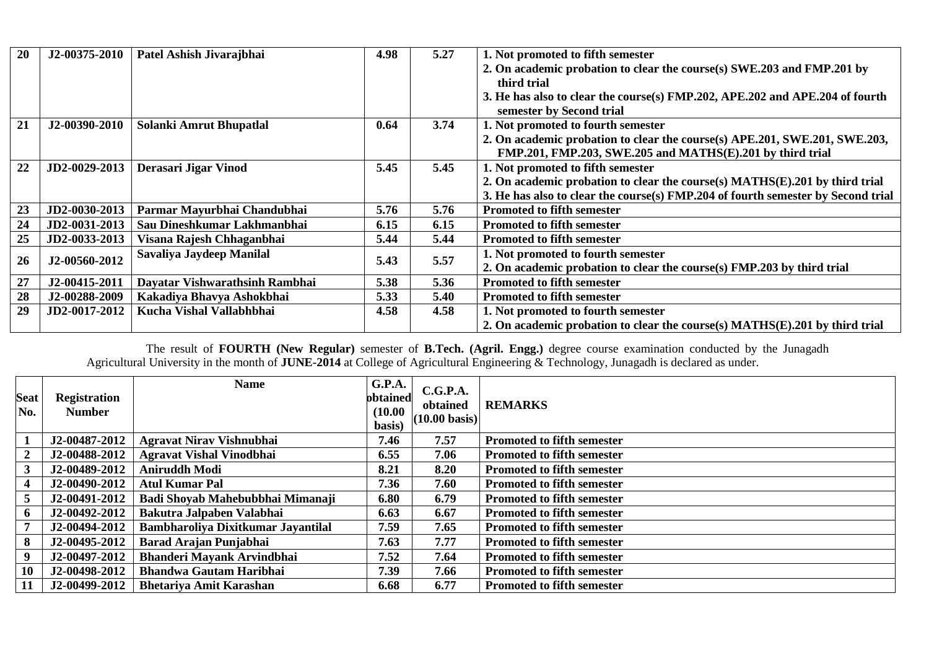| 20 | J2-00375-2010 | Patel Ashish Jivarajbhai       | 4.98 | 5.27 | 1. Not promoted to fifth semester                                                                        |
|----|---------------|--------------------------------|------|------|----------------------------------------------------------------------------------------------------------|
|    |               |                                |      |      | 2. On academic probation to clear the course(s) SWE.203 and FMP.201 by                                   |
|    |               |                                |      |      | third trial                                                                                              |
|    |               |                                |      |      | 3. He has also to clear the course(s) FMP.202, APE.202 and APE.204 of fourth<br>semester by Second trial |
| 21 | J2-00390-2010 | Solanki Amrut Bhupatlal        | 0.64 | 3.74 | 1. Not promoted to fourth semester                                                                       |
|    |               |                                |      |      | 2. On academic probation to clear the course(s) APE.201, SWE.201, SWE.203,                               |
|    |               |                                |      |      | FMP.201, FMP.203, SWE.205 and MATHS(E).201 by third trial                                                |
| 22 | JD2-0029-2013 | Derasari Jigar Vinod           | 5.45 | 5.45 | 1. Not promoted to fifth semester                                                                        |
|    |               |                                |      |      | 2. On academic probation to clear the course(s) MATHS(E).201 by third trial                              |
|    |               |                                |      |      | 3. He has also to clear the course(s) FMP.204 of fourth semester by Second trial                         |
| 23 | JD2-0030-2013 | Parmar Mayurbhai Chandubhai    | 5.76 | 5.76 | <b>Promoted to fifth semester</b>                                                                        |
| 24 | JD2-0031-2013 | Sau Dineshkumar Lakhmanbhai    | 6.15 | 6.15 | <b>Promoted to fifth semester</b>                                                                        |
| 25 | JD2-0033-2013 | Visana Rajesh Chhaganbhai      | 5.44 | 5.44 | <b>Promoted to fifth semester</b>                                                                        |
| 26 | J2-00560-2012 | Savaliya Jaydeep Manilal       | 5.43 | 5.57 | 1. Not promoted to fourth semester                                                                       |
|    |               |                                |      |      | 2. On academic probation to clear the course(s) FMP.203 by third trial                                   |
| 27 | J2-00415-2011 | Dayatar Vishwarathsinh Rambhai | 5.38 | 5.36 | <b>Promoted to fifth semester</b>                                                                        |
| 28 | J2-00288-2009 | Kakadiya Bhavya Ashokbhai      | 5.33 | 5.40 | <b>Promoted to fifth semester</b>                                                                        |
| 29 | JD2-0017-2012 | Kucha Vishal Vallabhbhai       | 4.58 | 4.58 | 1. Not promoted to fourth semester                                                                       |
|    |               |                                |      |      | 2. On academic probation to clear the course(s) MATHS(E).201 by third trial                              |

The result of **FOURTH (New Regular)** semester of **B.Tech. (Agril. Engg.)** degree course examination conducted by the Junagadh Agricultural University in the month of **JUNE-2014** at College of Agricultural Engineering & Technology, Junagadh is declared as under.

| <b>Seat</b><br>No. | <b>Registration</b><br><b>Number</b> | <b>Name</b>                        | G.P.A.<br>obtained<br>(10.00)<br>basis) | C.G.P.A.<br>obtained<br>$(10.00 \text{ basis})$ | <b>REMARKS</b>                    |
|--------------------|--------------------------------------|------------------------------------|-----------------------------------------|-------------------------------------------------|-----------------------------------|
| $\mathbf{1}$       | J2-00487-2012                        | <b>Agravat Nirav Vishnubhai</b>    | 7.46                                    | 7.57                                            | <b>Promoted to fifth semester</b> |
| $\overline{2}$     | J2-00488-2012                        | <b>Agravat Vishal Vinodbhai</b>    | 6.55                                    | 7.06                                            | <b>Promoted to fifth semester</b> |
| $\mathbf{3}$       | J2-00489-2012                        | <b>Aniruddh Modi</b>               | 8.21                                    | 8.20                                            | <b>Promoted to fifth semester</b> |
| 4                  | J2-00490-2012                        | <b>Atul Kumar Pal</b>              | 7.36                                    | 7.60                                            | <b>Promoted to fifth semester</b> |
| 5                  | J2-00491-2012                        | Badi Shoyab Mahebubbhai Mimanaji   | 6.80                                    | 6.79                                            | <b>Promoted to fifth semester</b> |
| 6                  | J2-00492-2012                        | Bakutra Jalpaben Valabhai          | 6.63                                    | 6.67                                            | <b>Promoted to fifth semester</b> |
|                    | J2-00494-2012                        | Bambharoliya Dixitkumar Jayantilal | 7.59                                    | 7.65                                            | <b>Promoted to fifth semester</b> |
| 8                  | J2-00495-2012                        | Barad Arajan Punjabhai             | 7.63                                    | 7.77                                            | <b>Promoted to fifth semester</b> |
| 9                  | J2-00497-2012                        | <b>Bhanderi Mayank Arvindbhai</b>  | 7.52                                    | 7.64                                            | <b>Promoted to fifth semester</b> |
| 10                 | J2-00498-2012                        | <b>Bhandwa Gautam Haribhai</b>     | 7.39                                    | 7.66                                            | <b>Promoted to fifth semester</b> |
| 11                 | J2-00499-2012                        | <b>Bhetariya Amit Karashan</b>     | 6.68                                    | 6.77                                            | <b>Promoted to fifth semester</b> |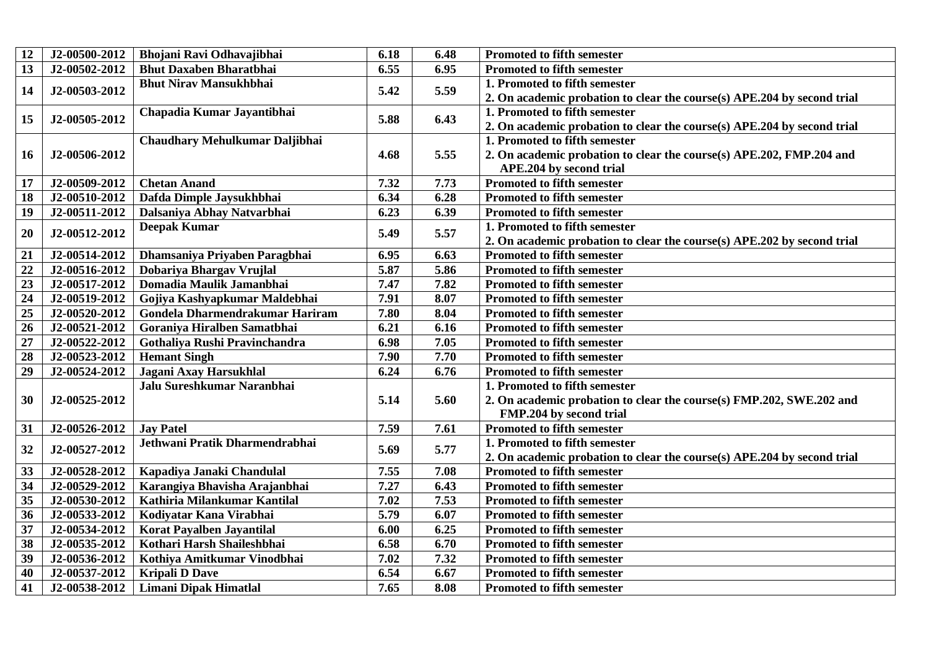| 12              | J2-00500-2012 | Bhojani Ravi Odhavajibhai       | 6.18 | 6.48         | <b>Promoted to fifth semester</b>                                       |
|-----------------|---------------|---------------------------------|------|--------------|-------------------------------------------------------------------------|
| 13              | J2-00502-2012 | <b>Bhut Daxaben Bharatbhai</b>  | 6.55 | 6.95         | <b>Promoted to fifth semester</b>                                       |
| 14              | J2-00503-2012 | <b>Bhut Niray Mansukhbhai</b>   | 5.42 | 5.59         | 1. Promoted to fifth semester                                           |
|                 |               |                                 |      |              | 2. On academic probation to clear the course(s) APE.204 by second trial |
| 15              | J2-00505-2012 | Chapadia Kumar Jayantibhai      |      |              | 1. Promoted to fifth semester                                           |
|                 |               |                                 |      | 5.88<br>6.43 | 2. On academic probation to clear the course(s) APE.204 by second trial |
|                 |               | Chaudhary Mehulkumar Daljibhai  |      |              | 1. Promoted to fifth semester                                           |
| 16              | J2-00506-2012 |                                 | 4.68 | 5.55         | 2. On academic probation to clear the course(s) APE.202, FMP.204 and    |
|                 |               |                                 |      |              | APE.204 by second trial                                                 |
| 17              | J2-00509-2012 | <b>Chetan Anand</b>             | 7.32 | 7.73         | <b>Promoted to fifth semester</b>                                       |
| 18              | J2-00510-2012 | Dafda Dimple Jaysukhbhai        | 6.34 | 6.28         | <b>Promoted to fifth semester</b>                                       |
| 19              | J2-00511-2012 | Dalsaniya Abhay Natvarbhai      | 6.23 | 6.39         | <b>Promoted to fifth semester</b>                                       |
| 20              | J2-00512-2012 | <b>Deepak Kumar</b>             | 5.49 | 5.57         | 1. Promoted to fifth semester                                           |
|                 |               |                                 |      |              | 2. On academic probation to clear the course(s) APE.202 by second trial |
| $\overline{21}$ | J2-00514-2012 | Dhamsaniya Priyaben Paragbhai   | 6.95 | 6.63         | <b>Promoted to fifth semester</b>                                       |
| $\overline{22}$ | J2-00516-2012 | Dobariya Bhargay Vrujlal        | 5.87 | 5.86         | <b>Promoted to fifth semester</b>                                       |
| $\overline{23}$ | J2-00517-2012 | Domadia Maulik Jamanbhai        | 7.47 | 7.82         | <b>Promoted to fifth semester</b>                                       |
| $\overline{24}$ | J2-00519-2012 | Gojiya Kashyapkumar Maldebhai   | 7.91 | 8.07         | <b>Promoted to fifth semester</b>                                       |
| 25              | J2-00520-2012 | Gondela Dharmendrakumar Hariram | 7.80 | 8.04         | <b>Promoted to fifth semester</b>                                       |
| 26              | J2-00521-2012 | Goraniya Hiralben Samatbhai     | 6.21 | 6.16         | <b>Promoted to fifth semester</b>                                       |
| 27              | J2-00522-2012 | Gothaliya Rushi Pravinchandra   | 6.98 | 7.05         | <b>Promoted to fifth semester</b>                                       |
| 28              | J2-00523-2012 | <b>Hemant Singh</b>             | 7.90 | 7.70         | <b>Promoted to fifth semester</b>                                       |
| $\overline{29}$ | J2-00524-2012 | Jagani Axay Harsukhlal          | 6.24 | 6.76         | <b>Promoted to fifth semester</b>                                       |
|                 |               | Jalu Sureshkumar Naranbhai      |      |              | 1. Promoted to fifth semester                                           |
| 30              | J2-00525-2012 |                                 | 5.14 | 5.60         | 2. On academic probation to clear the course(s) FMP.202, SWE.202 and    |
|                 |               |                                 |      |              | FMP.204 by second trial                                                 |
| 31              | J2-00526-2012 | <b>Jav Patel</b>                | 7.59 | 7.61         | <b>Promoted to fifth semester</b>                                       |
| 32              | J2-00527-2012 | Jethwani Pratik Dharmendrabhai  | 5.69 | 5.77         | 1. Promoted to fifth semester                                           |
|                 |               |                                 |      |              | 2. On academic probation to clear the course(s) APE.204 by second trial |
| 33              | J2-00528-2012 | Kapadiya Janaki Chandulal       | 7.55 | 7.08         | <b>Promoted to fifth semester</b>                                       |
| $\overline{34}$ | J2-00529-2012 | Karangiya Bhavisha Arajanbhai   | 7.27 | 6.43         | <b>Promoted to fifth semester</b>                                       |
| 35              | J2-00530-2012 | Kathiria Milankumar Kantilal    | 7.02 | 7.53         | <b>Promoted to fifth semester</b>                                       |
| 36              | J2-00533-2012 | Kodiyatar Kana Virabhai         | 5.79 | 6.07         | <b>Promoted to fifth semester</b>                                       |
| 37              | J2-00534-2012 | Korat Payalben Jayantilal       | 6.00 | 6.25         | <b>Promoted to fifth semester</b>                                       |
| 38              | J2-00535-2012 | Kothari Harsh Shaileshbhai      | 6.58 | 6.70         | <b>Promoted to fifth semester</b>                                       |
| 39              | J2-00536-2012 | Kothiya Amitkumar Vinodbhai     | 7.02 | 7.32         | <b>Promoted to fifth semester</b>                                       |
| 40              | J2-00537-2012 | <b>Kripali D Dave</b>           | 6.54 | 6.67         | <b>Promoted to fifth semester</b>                                       |
| 41              | J2-00538-2012 | Limani Dipak Himatlal           | 7.65 | 8.08         | <b>Promoted to fifth semester</b>                                       |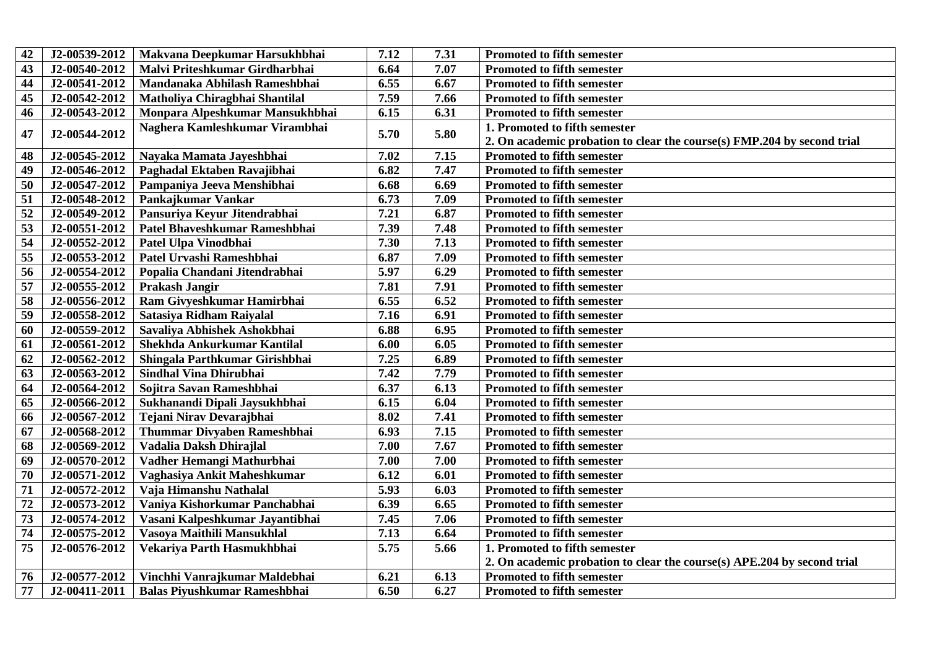| 42 | J2-00539-2012 | Makvana Deepkumar Harsukhbhai       | 7.12 | 7.31 | <b>Promoted to fifth semester</b>                                       |
|----|---------------|-------------------------------------|------|------|-------------------------------------------------------------------------|
| 43 | J2-00540-2012 | Malvi Priteshkumar Girdharbhai      | 6.64 | 7.07 | <b>Promoted to fifth semester</b>                                       |
| 44 | J2-00541-2012 | Mandanaka Abhilash Rameshbhai       | 6.55 | 6.67 | <b>Promoted to fifth semester</b>                                       |
| 45 | J2-00542-2012 | Matholiya Chiragbhai Shantilal      | 7.59 | 7.66 | <b>Promoted to fifth semester</b>                                       |
| 46 | J2-00543-2012 | Monpara Alpeshkumar Mansukhbhai     | 6.15 | 6.31 | <b>Promoted to fifth semester</b>                                       |
| 47 | J2-00544-2012 | Naghera Kamleshkumar Virambhai      | 5.70 | 5.80 | 1. Promoted to fifth semester                                           |
|    |               |                                     |      |      | 2. On academic probation to clear the course(s) FMP.204 by second trial |
| 48 | J2-00545-2012 | Nayaka Mamata Jayeshbhai            | 7.02 | 7.15 | <b>Promoted to fifth semester</b>                                       |
| 49 | J2-00546-2012 | Paghadal Ektaben Ravajibhai         | 6.82 | 7.47 | <b>Promoted to fifth semester</b>                                       |
| 50 | J2-00547-2012 | Pampaniya Jeeva Menshibhai          | 6.68 | 6.69 | <b>Promoted to fifth semester</b>                                       |
| 51 | J2-00548-2012 | Pankajkumar Vankar                  | 6.73 | 7.09 | <b>Promoted to fifth semester</b>                                       |
| 52 | J2-00549-2012 | Pansuriya Keyur Jitendrabhai        | 7.21 | 6.87 | <b>Promoted to fifth semester</b>                                       |
| 53 | J2-00551-2012 | Patel Bhaveshkumar Rameshbhai       | 7.39 | 7.48 | <b>Promoted to fifth semester</b>                                       |
| 54 | J2-00552-2012 | Patel Ulpa Vinodbhai                | 7.30 | 7.13 | <b>Promoted to fifth semester</b>                                       |
| 55 | J2-00553-2012 | Patel Urvashi Rameshbhai            | 6.87 | 7.09 | <b>Promoted to fifth semester</b>                                       |
| 56 | J2-00554-2012 | Popalia Chandani Jitendrabhai       | 5.97 | 6.29 | <b>Promoted to fifth semester</b>                                       |
| 57 | J2-00555-2012 | <b>Prakash Jangir</b>               | 7.81 | 7.91 | <b>Promoted to fifth semester</b>                                       |
| 58 | J2-00556-2012 | Ram Givyeshkumar Hamirbhai          | 6.55 | 6.52 | <b>Promoted to fifth semester</b>                                       |
| 59 | J2-00558-2012 | Satasiya Ridham Raiyalal            | 7.16 | 6.91 | <b>Promoted to fifth semester</b>                                       |
| 60 | J2-00559-2012 | Savaliya Abhishek Ashokbhai         | 6.88 | 6.95 | <b>Promoted to fifth semester</b>                                       |
| 61 | J2-00561-2012 | Shekhda Ankurkumar Kantilal         | 6.00 | 6.05 | <b>Promoted to fifth semester</b>                                       |
| 62 | J2-00562-2012 | Shingala Parthkumar Girishbhai      | 7.25 | 6.89 | <b>Promoted to fifth semester</b>                                       |
| 63 | J2-00563-2012 | Sindhal Vina Dhirubhai              | 7.42 | 7.79 | <b>Promoted to fifth semester</b>                                       |
| 64 | J2-00564-2012 | Sojitra Savan Rameshbhai            | 6.37 | 6.13 | <b>Promoted to fifth semester</b>                                       |
| 65 | J2-00566-2012 | Sukhanandi Dipali Jaysukhbhai       | 6.15 | 6.04 | <b>Promoted to fifth semester</b>                                       |
| 66 | J2-00567-2012 | Tejani Nirav Devarajbhai            | 8.02 | 7.41 | <b>Promoted to fifth semester</b>                                       |
| 67 | J2-00568-2012 | Thummar Divyaben Rameshbhai         | 6.93 | 7.15 | <b>Promoted to fifth semester</b>                                       |
| 68 | J2-00569-2012 | Vadalia Daksh Dhirajlal             | 7.00 | 7.67 | <b>Promoted to fifth semester</b>                                       |
| 69 | J2-00570-2012 | Vadher Hemangi Mathurbhai           | 7.00 | 7.00 | <b>Promoted to fifth semester</b>                                       |
| 70 | J2-00571-2012 | Vaghasiya Ankit Maheshkumar         | 6.12 | 6.01 | <b>Promoted to fifth semester</b>                                       |
| 71 | J2-00572-2012 | Vaja Himanshu Nathalal              | 5.93 | 6.03 | <b>Promoted to fifth semester</b>                                       |
| 72 | J2-00573-2012 | Vaniya Kishorkumar Panchabhai       | 6.39 | 6.65 | <b>Promoted to fifth semester</b>                                       |
| 73 | J2-00574-2012 | Vasani Kalpeshkumar Jayantibhai     | 7.45 | 7.06 | <b>Promoted to fifth semester</b>                                       |
| 74 | J2-00575-2012 | Vasoya Maithili Mansukhlal          | 7.13 | 6.64 | <b>Promoted to fifth semester</b>                                       |
| 75 | J2-00576-2012 | Vekariya Parth Hasmukhbhai          | 5.75 | 5.66 | 1. Promoted to fifth semester                                           |
|    |               |                                     |      |      | 2. On academic probation to clear the course(s) APE.204 by second trial |
| 76 | J2-00577-2012 | Vinchhi Vanrajkumar Maldebhai       | 6.21 | 6.13 | <b>Promoted to fifth semester</b>                                       |
| 77 | J2-00411-2011 | <b>Balas Piyushkumar Rameshbhai</b> | 6.50 | 6.27 | <b>Promoted to fifth semester</b>                                       |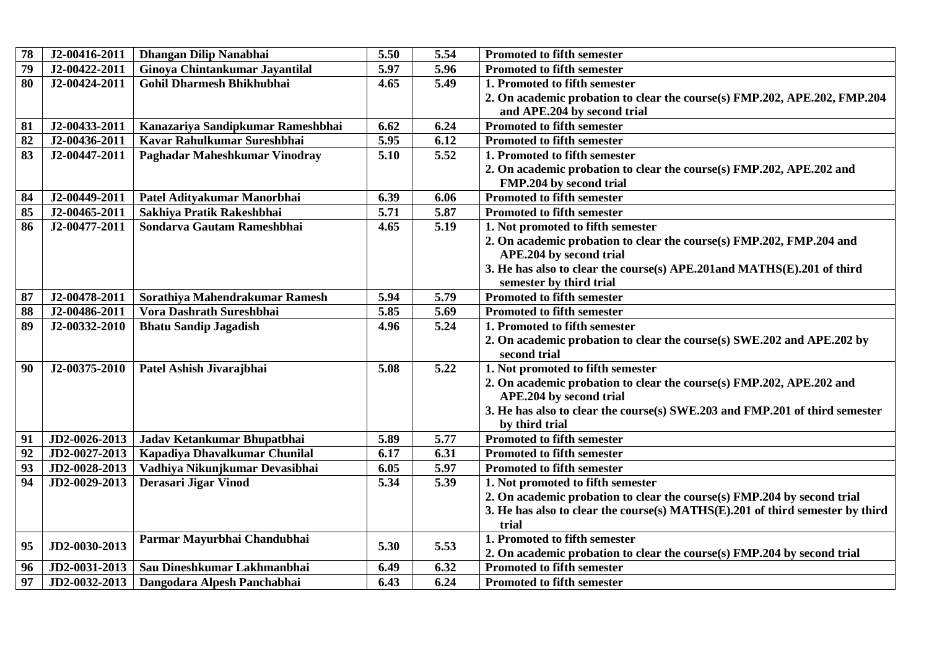| 78              | J2-00416-2011 | Dhangan Dilip Nanabhai            | 5.50              | 5.54 | <b>Promoted to fifth semester</b>                                             |
|-----------------|---------------|-----------------------------------|-------------------|------|-------------------------------------------------------------------------------|
| $\overline{79}$ | J2-00422-2011 | Ginoya Chintankumar Jayantilal    | 5.97              | 5.96 | <b>Promoted to fifth semester</b>                                             |
| 80              | J2-00424-2011 | <b>Gohil Dharmesh Bhikhubhai</b>  | 4.65              | 5.49 | 1. Promoted to fifth semester                                                 |
|                 |               |                                   |                   |      | 2. On academic probation to clear the course(s) FMP.202, APE.202, FMP.204     |
|                 |               |                                   |                   |      | and APE.204 by second trial                                                   |
| 81              | J2-00433-2011 | Kanazariya Sandipkumar Rameshbhai | 6.62              | 6.24 | <b>Promoted to fifth semester</b>                                             |
| 82              | J2-00436-2011 | Kavar Rahulkumar Sureshbhai       | 5.95              | 6.12 | <b>Promoted to fifth semester</b>                                             |
| 83              | J2-00447-2011 | Paghadar Maheshkumar Vinodray     | $\overline{5.10}$ | 5.52 | 1. Promoted to fifth semester                                                 |
|                 |               |                                   |                   |      | 2. On academic probation to clear the course(s) FMP.202, APE.202 and          |
|                 |               |                                   |                   |      | FMP.204 by second trial                                                       |
| 84              | J2-00449-2011 | Patel Adityakumar Manorbhai       | 6.39              | 6.06 | <b>Promoted to fifth semester</b>                                             |
| 85              | J2-00465-2011 | Sakhiya Pratik Rakeshbhai         | 5.71              | 5.87 | <b>Promoted to fifth semester</b>                                             |
| 86              | J2-00477-2011 | Sondarva Gautam Rameshbhai        | 4.65              | 5.19 | 1. Not promoted to fifth semester                                             |
|                 |               |                                   |                   |      | 2. On academic probation to clear the course(s) FMP.202, FMP.204 and          |
|                 |               |                                   |                   |      | APE.204 by second trial                                                       |
|                 |               |                                   |                   |      | 3. He has also to clear the course(s) APE.201 and MATHS(E).201 of third       |
|                 |               |                                   |                   |      | semester by third trial                                                       |
| 87              | J2-00478-2011 | Sorathiya Mahendrakumar Ramesh    | 5.94              | 5.79 | Promoted to fifth semester                                                    |
| 88              | J2-00486-2011 | Vora Dashrath Sureshbhai          | 5.85              | 5.69 | <b>Promoted to fifth semester</b>                                             |
| 89              | J2-00332-2010 | <b>Bhatu Sandip Jagadish</b>      | 4.96              | 5.24 | 1. Promoted to fifth semester                                                 |
|                 |               |                                   |                   |      | 2. On academic probation to clear the course(s) SWE.202 and APE.202 by        |
|                 |               |                                   |                   |      | second trial                                                                  |
| 90              | J2-00375-2010 | Patel Ashish Jivarajbhai          | 5.08              | 5.22 | 1. Not promoted to fifth semester                                             |
|                 |               |                                   |                   |      | 2. On academic probation to clear the course(s) FMP.202, APE.202 and          |
|                 |               |                                   |                   |      | APE.204 by second trial                                                       |
|                 |               |                                   |                   |      | 3. He has also to clear the course(s) SWE.203 and FMP.201 of third semester   |
|                 |               |                                   |                   |      | by third trial                                                                |
| 91              | JD2-0026-2013 | Jadav Ketankumar Bhupatbhai       | 5.89              | 5.77 | <b>Promoted to fifth semester</b>                                             |
| 92              | JD2-0027-2013 | Kapadiya Dhavalkumar Chunilal     | 6.17              | 6.31 | <b>Promoted to fifth semester</b>                                             |
| 93              | JD2-0028-2013 | Vadhiya Nikunjkumar Devasibhai    | 6.05              | 5.97 | <b>Promoted to fifth semester</b>                                             |
| 94              | JD2-0029-2013 | Derasari Jigar Vinod              | 5.34              | 5.39 | 1. Not promoted to fifth semester                                             |
|                 |               |                                   |                   |      | 2. On academic probation to clear the course(s) FMP.204 by second trial       |
|                 |               |                                   |                   |      | 3. He has also to clear the course(s) MATHS(E).201 of third semester by third |
|                 |               |                                   |                   |      | trial                                                                         |
| 95              | JD2-0030-2013 | Parmar Mayurbhai Chandubhai       | 5.30              | 5.53 | 1. Promoted to fifth semester                                                 |
|                 |               |                                   |                   |      | 2. On academic probation to clear the course(s) FMP.204 by second trial       |
| 96              | JD2-0031-2013 | Sau Dineshkumar Lakhmanbhai       | 6.49              | 6.32 | <b>Promoted to fifth semester</b>                                             |
| 97              | JD2-0032-2013 | Dangodara Alpesh Panchabhai       | 6.43              | 6.24 | <b>Promoted to fifth semester</b>                                             |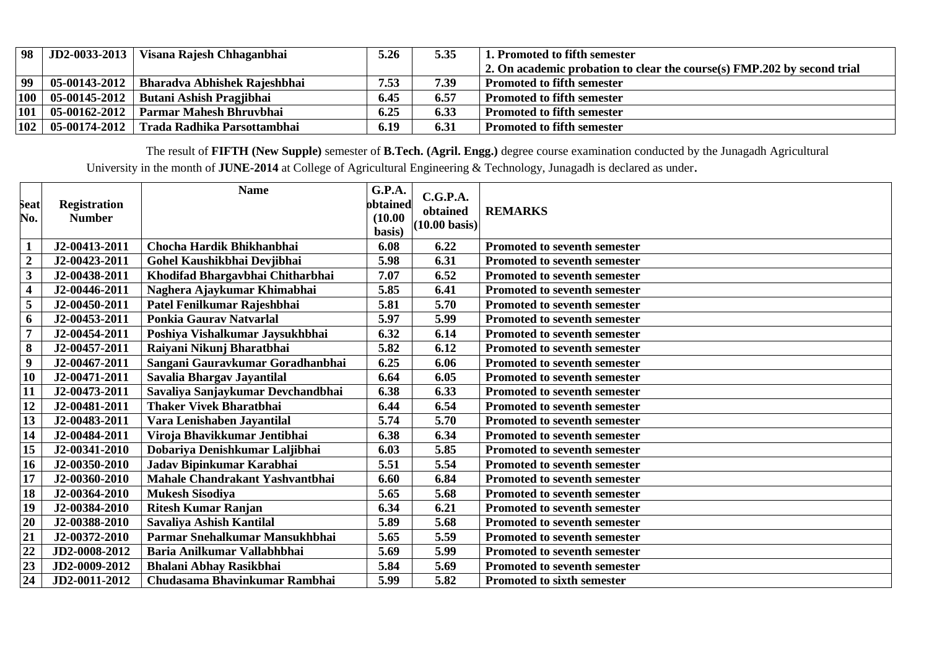| 98         | $JD2 - 0033 - 2013$ | Visana Rajesh Chhaganbhai                | 5.26 | 5.35 | 1. Promoted to fifth semester                                           |
|------------|---------------------|------------------------------------------|------|------|-------------------------------------------------------------------------|
|            |                     |                                          |      |      | 2. On academic probation to clear the course(s) FMP.202 by second trial |
| 99         | 05-00143-2012       | Bharadva Abhishek Raieshbhai             | 7.53 | 7.39 | <b>Promoted to fifth semester</b>                                       |
| <b>100</b> |                     | $05-00145-2012$ Butani Ashish Pragjibhai | 6.45 | 6.57 | <b>Promoted to fifth semester</b>                                       |
| 101        |                     | 05-00162-2012   Parmar Mahesh Bhruvbhai  | 6.25 | 6.33 | <b>Promoted to fifth semester</b>                                       |
| 102        | 05-00174-2012       | Trada Radhika Parsottambhai              | 6.19 | 6.31 | <b>Promoted to fifth semester</b>                                       |

The result of **FIFTH (New Supple)** semester of **B.Tech. (Agril. Engg.)** degree course examination conducted by the Junagadh Agricultural University in the month of **JUNE-2014** at College of Agricultural Engineering & Technology, Junagadh is declared as under.

| <b>Seat</b><br>No.      | <b>Registration</b><br><b>Number</b> | <b>Name</b>                       | G.P.A.<br>obtained<br>(10.00)<br>basis) | C.G.P.A.<br>obtained<br>$(10.00 \text{ basis})$ | <b>REMARKS</b>                      |
|-------------------------|--------------------------------------|-----------------------------------|-----------------------------------------|-------------------------------------------------|-------------------------------------|
| $\mathbf{1}$            | J2-00413-2011                        | Chocha Hardik Bhikhanbhai         | 6.08                                    | 6.22                                            | <b>Promoted to seventh semester</b> |
| $\boldsymbol{2}$        | J2-00423-2011                        | Gohel Kaushikbhai Devjibhai       | 5.98                                    | 6.31                                            | <b>Promoted to seventh semester</b> |
| 3 <sup>1</sup>          | J2-00438-2011                        | Khodifad Bhargavbhai Chitharbhai  | 7.07                                    | 6.52                                            | <b>Promoted to seventh semester</b> |
| $\overline{\mathbf{4}}$ | J2-00446-2011                        | Naghera Ajaykumar Khimabhai       | 5.85                                    | 6.41                                            | <b>Promoted to seventh semester</b> |
| 5                       | J2-00450-2011                        | Patel Fenilkumar Rajeshbhai       | 5.81                                    | 5.70                                            | <b>Promoted to seventh semester</b> |
| 6                       | J2-00453-2011                        | Ponkia Gaurav Natvarlal           | 5.97                                    | 5.99                                            | <b>Promoted to seventh semester</b> |
|                         | J2-00454-2011                        | Poshiya Vishalkumar Jaysukhbhai   | 6.32                                    | 6.14                                            | <b>Promoted to seventh semester</b> |
| 8                       | J2-00457-2011                        | Raiyani Nikunj Bharatbhai         | 5.82                                    | 6.12                                            | <b>Promoted to seventh semester</b> |
| 9                       | J2-00467-2011                        | Sangani Gauravkumar Goradhanbhai  | 6.25                                    | 6.06                                            | <b>Promoted to seventh semester</b> |
| 10                      | J2-00471-2011                        | Savalia Bhargav Jayantilal        | 6.64                                    | 6.05                                            | <b>Promoted to seventh semester</b> |
| 11                      | J2-00473-2011                        | Savaliya Sanjaykumar Devchandbhai | 6.38                                    | 6.33                                            | <b>Promoted to seventh semester</b> |
| 12                      | J2-00481-2011                        | <b>Thaker Vivek Bharatbhai</b>    | 6.44                                    | 6.54                                            | Promoted to seventh semester        |
| 13                      | J2-00483-2011                        | Vara Lenishaben Jayantilal        | 5.74                                    | 5.70                                            | <b>Promoted to seventh semester</b> |
| 14                      | J2-00484-2011                        | Viroja Bhavikkumar Jentibhai      | 6.38                                    | 6.34                                            | <b>Promoted to seventh semester</b> |
| 15                      | J2-00341-2010                        | Dobariya Denishkumar Laljibhai    | 6.03                                    | 5.85                                            | Promoted to seventh semester        |
| 16                      | J2-00350-2010                        | Jadav Bipinkumar Karabhai         | 5.51                                    | 5.54                                            | <b>Promoted to seventh semester</b> |
| $\overline{17}$         | J2-00360-2010                        | Mahale Chandrakant Yashvantbhai   | 6.60                                    | 6.84                                            | <b>Promoted to seventh semester</b> |
| 18                      | J2-00364-2010                        | <b>Mukesh Sisodiya</b>            | 5.65                                    | 5.68                                            | <b>Promoted to seventh semester</b> |
| 19                      | J2-00384-2010                        | <b>Ritesh Kumar Ranjan</b>        | 6.34                                    | 6.21                                            | <b>Promoted to seventh semester</b> |
| 20                      | J2-00388-2010                        | Savaliya Ashish Kantilal          | 5.89                                    | 5.68                                            | <b>Promoted to seventh semester</b> |
| 21                      | J2-00372-2010                        | Parmar Snehalkumar Mansukhbhai    | 5.65                                    | 5.59                                            | <b>Promoted to seventh semester</b> |
| 22                      | JD2-0008-2012                        | Baria Anilkumar Vallabhbhai       | 5.69                                    | 5.99                                            | <b>Promoted to seventh semester</b> |
| 23                      | JD2-0009-2012                        | <b>Bhalani Abhay Rasikbhai</b>    | 5.84                                    | 5.69                                            | <b>Promoted to seventh semester</b> |
| 24                      | JD2-0011-2012                        | Chudasama Bhavinkumar Rambhai     | 5.99                                    | 5.82                                            | <b>Promoted to sixth semester</b>   |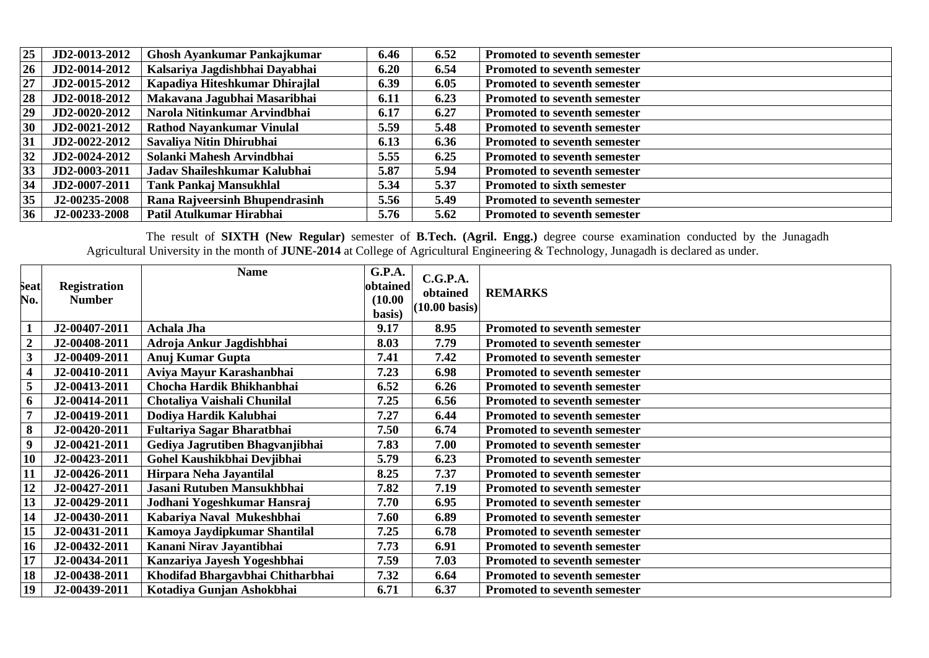| 25              | JD2-0013-2012 | Ghosh Ayankumar Pankajkumar      | 6.46 | 6.52 | <b>Promoted to seventh semester</b> |
|-----------------|---------------|----------------------------------|------|------|-------------------------------------|
| 26              | JD2-0014-2012 | Kalsariya Jagdishbhai Dayabhai   | 6.20 | 6.54 | <b>Promoted to seventh semester</b> |
| 27              | JD2-0015-2012 | Kapadiya Hiteshkumar Dhirajlal   | 6.39 | 6.05 | <b>Promoted to seventh semester</b> |
| 28              | JD2-0018-2012 | Makavana Jagubhai Masaribhai     | 6.11 | 6.23 | <b>Promoted to seventh semester</b> |
| 29              | JD2-0020-2012 | Narola Nitinkumar Arvindbhai     | 6.17 | 6.27 | <b>Promoted to seventh semester</b> |
| 30 <sup>°</sup> | JD2-0021-2012 | <b>Rathod Nayankumar Vinulal</b> | 5.59 | 5.48 | <b>Promoted to seventh semester</b> |
| 31              | JD2-0022-2012 | Savaliya Nitin Dhirubhai         | 6.13 | 6.36 | <b>Promoted to seventh semester</b> |
| 32              | JD2-0024-2012 | Solanki Mahesh Arvindbhai        | 5.55 | 6.25 | <b>Promoted to seventh semester</b> |
| 33              | JD2-0003-2011 | Jadav Shaileshkumar Kalubhai     | 5.87 | 5.94 | <b>Promoted to seventh semester</b> |
| 34              | JD2-0007-2011 | <b>Tank Pankaj Mansukhlal</b>    | 5.34 | 5.37 | <b>Promoted to sixth semester</b>   |
| 35 <sup>5</sup> | J2-00235-2008 | Rana Rajveersinh Bhupendrasinh   | 5.56 | 5.49 | <b>Promoted to seventh semester</b> |
| 36              | J2-00233-2008 | Patil Atulkumar Hirabhai         | 5.76 | 5.62 | <b>Promoted to seventh semester</b> |

The result of **SIXTH (New Regular)** semester of **B.Tech. (Agril. Engg.)** degree course examination conducted by the Junagadh Agricultural University in the month of **JUNE-2014** at College of Agricultural Engineering & Technology, Junagadh is declared as under.

|                         |                     | <b>Name</b>                      | G.P.A.   | C.G.P.A.                |                                     |
|-------------------------|---------------------|----------------------------------|----------|-------------------------|-------------------------------------|
| Seat                    | <b>Registration</b> |                                  | obtained | obtained                | <b>REMARKS</b>                      |
| No.                     | <b>Number</b>       |                                  | (10.00)  | $(10.00 \text{ basis})$ |                                     |
|                         |                     |                                  | basis)   |                         |                                     |
| $\mathbf{1}$            | J2-00407-2011       | Achala Jha                       | 9.17     | 8.95                    | <b>Promoted to seventh semester</b> |
| $\boldsymbol{2}$        | J2-00408-2011       | Adroja Ankur Jagdishbhai         | 8.03     | 7.79                    | <b>Promoted to seventh semester</b> |
| $\overline{\mathbf{3}}$ | J2-00409-2011       | Anuj Kumar Gupta                 | 7.41     | 7.42                    | <b>Promoted to seventh semester</b> |
| 4                       | J2-00410-2011       | Aviya Mayur Karashanbhai         | 7.23     | 6.98                    | <b>Promoted to seventh semester</b> |
| 5                       | J2-00413-2011       | Chocha Hardik Bhikhanbhai        | 6.52     | 6.26                    | <b>Promoted to seventh semester</b> |
| 6                       | J2-00414-2011       | Chotaliya Vaishali Chunilal      | 7.25     | 6.56                    | Promoted to seventh semester        |
| 7                       | J2-00419-2011       | Dodiya Hardik Kalubhai           | 7.27     | 6.44                    | <b>Promoted to seventh semester</b> |
| 8                       | J2-00420-2011       | Fultariya Sagar Bharatbhai       | 7.50     | 6.74                    | <b>Promoted to seventh semester</b> |
| 9                       | J2-00421-2011       | Gediya Jagrutiben Bhagvanjibhai  | 7.83     | 7.00                    | <b>Promoted to seventh semester</b> |
| 10                      | J2-00423-2011       | Gohel Kaushikbhai Devjibhai      | 5.79     | 6.23                    | <b>Promoted to seventh semester</b> |
| 11                      | J2-00426-2011       | Hirpara Neha Jayantilal          | 8.25     | 7.37                    | <b>Promoted to seventh semester</b> |
| 12                      | J2-00427-2011       | Jasani Rutuben Mansukhbhai       | 7.82     | 7.19                    | <b>Promoted to seventh semester</b> |
| 13                      | J2-00429-2011       | Jodhani Yogeshkumar Hansraj      | 7.70     | 6.95                    | <b>Promoted to seventh semester</b> |
| 14                      | J2-00430-2011       | Kabariya Naval Mukeshbhai        | 7.60     | 6.89                    | <b>Promoted to seventh semester</b> |
| 15                      | J2-00431-2011       | Kamoya Jaydipkumar Shantilal     | 7.25     | 6.78                    | <b>Promoted to seventh semester</b> |
| 16                      | J2-00432-2011       | Kanani Nirav Jayantibhai         | 7.73     | 6.91                    | <b>Promoted to seventh semester</b> |
| 17                      | J2-00434-2011       | Kanzariya Jayesh Yogeshbhai      | 7.59     | 7.03                    | Promoted to seventh semester        |
| 18                      | J2-00438-2011       | Khodifad Bhargavbhai Chitharbhai | 7.32     | 6.64                    | <b>Promoted to seventh semester</b> |
| 19                      | J2-00439-2011       | Kotadiya Gunjan Ashokbhai        | 6.71     | 6.37                    | <b>Promoted to seventh semester</b> |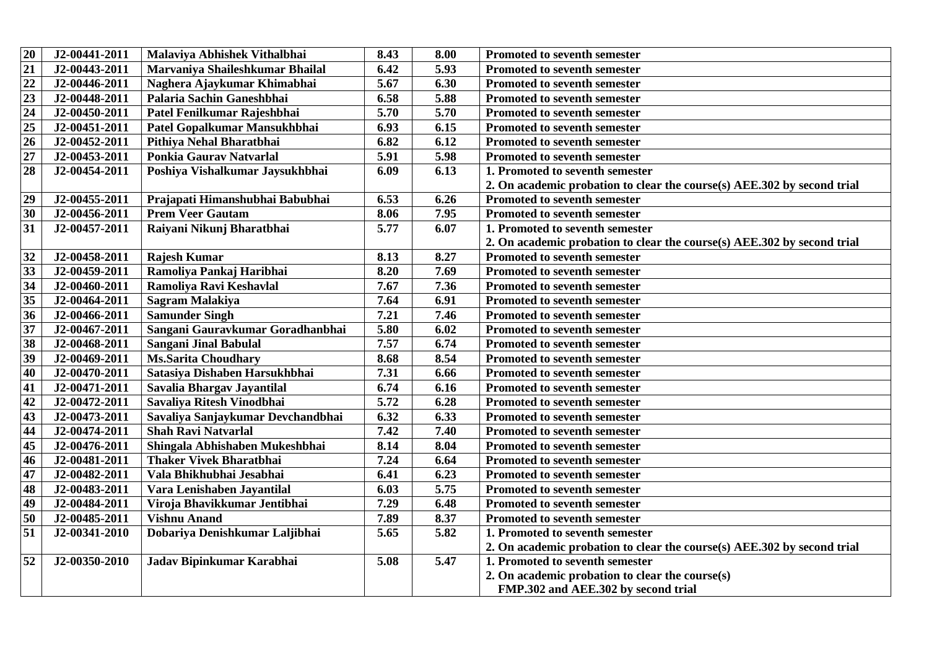| $\overline{20}$ | J2-00441-2011 | Malaviya Abhishek Vithalbhai      | 8.43 | 8.00 | <b>Promoted to seventh semester</b>                                     |
|-----------------|---------------|-----------------------------------|------|------|-------------------------------------------------------------------------|
| $\overline{21}$ | J2-00443-2011 | Marvaniya Shaileshkumar Bhailal   | 6.42 | 5.93 | <b>Promoted to seventh semester</b>                                     |
| 22              | J2-00446-2011 | Naghera Ajaykumar Khimabhai       | 5.67 | 6.30 | <b>Promoted to seventh semester</b>                                     |
| $\overline{23}$ | J2-00448-2011 | Palaria Sachin Ganeshbhai         | 6.58 | 5.88 | Promoted to seventh semester                                            |
| 24              | J2-00450-2011 | Patel Fenilkumar Rajeshbhai       | 5.70 | 5.70 | Promoted to seventh semester                                            |
| 25              | J2-00451-2011 | Patel Gopalkumar Mansukhbhai      | 6.93 | 6.15 | <b>Promoted to seventh semester</b>                                     |
| 26              | J2-00452-2011 | Pithiya Nehal Bharatbhai          | 6.82 | 6.12 | Promoted to seventh semester                                            |
| $\overline{27}$ | J2-00453-2011 | Ponkia Gaurav Natvarlal           | 5.91 | 5.98 | Promoted to seventh semester                                            |
| $\overline{28}$ | J2-00454-2011 | Poshiya Vishalkumar Jaysukhbhai   | 6.09 | 6.13 | 1. Promoted to seventh semester                                         |
|                 |               |                                   |      |      | 2. On academic probation to clear the course(s) AEE.302 by second trial |
| 29              | J2-00455-2011 | Prajapati Himanshubhai Babubhai   | 6.53 | 6.26 | Promoted to seventh semester                                            |
| 30              | J2-00456-2011 | <b>Prem Veer Gautam</b>           | 8.06 | 7.95 | <b>Promoted to seventh semester</b>                                     |
| 31              | J2-00457-2011 | Raiyani Nikunj Bharatbhai         | 5.77 | 6.07 | 1. Promoted to seventh semester                                         |
|                 |               |                                   |      |      | 2. On academic probation to clear the course(s) AEE.302 by second trial |
| 32              | J2-00458-2011 | <b>Rajesh Kumar</b>               | 8.13 | 8.27 | Promoted to seventh semester                                            |
| $\overline{33}$ | J2-00459-2011 | Ramoliya Pankaj Haribhai          | 8.20 | 7.69 | Promoted to seventh semester                                            |
| $\overline{34}$ | J2-00460-2011 | Ramoliya Ravi Keshavlal           | 7.67 | 7.36 | Promoted to seventh semester                                            |
| $\overline{35}$ | J2-00464-2011 | <b>Sagram Malakiya</b>            | 7.64 | 6.91 | Promoted to seventh semester                                            |
| 36              | J2-00466-2011 | <b>Samunder Singh</b>             | 7.21 | 7.46 | Promoted to seventh semester                                            |
| $\overline{37}$ | J2-00467-2011 | Sangani Gauravkumar Goradhanbhai  | 5.80 | 6.02 | Promoted to seventh semester                                            |
| 38              | J2-00468-2011 | <b>Sangani Jinal Babulal</b>      | 7.57 | 6.74 | Promoted to seventh semester                                            |
| 39              | J2-00469-2011 | <b>Ms.Sarita Choudhary</b>        | 8.68 | 8.54 | Promoted to seventh semester                                            |
| 40              | J2-00470-2011 | Satasiya Dishaben Harsukhbhai     | 7.31 | 6.66 | <b>Promoted to seventh semester</b>                                     |
| 41              | J2-00471-2011 | Savalia Bhargav Jayantilal        | 6.74 | 6.16 | <b>Promoted to seventh semester</b>                                     |
| 42              | J2-00472-2011 | Savaliya Ritesh Vinodbhai         | 5.72 | 6.28 | Promoted to seventh semester                                            |
| 43              | J2-00473-2011 | Savaliya Sanjaykumar Devchandbhai | 6.32 | 6.33 | Promoted to seventh semester                                            |
| 44              | J2-00474-2011 | <b>Shah Ravi Natvarlal</b>        | 7.42 | 7.40 | Promoted to seventh semester                                            |
| 45              | J2-00476-2011 | Shingala Abhishaben Mukeshbhai    | 8.14 | 8.04 | <b>Promoted to seventh semester</b>                                     |
| 46              | J2-00481-2011 | <b>Thaker Vivek Bharatbhai</b>    | 7.24 | 6.64 | <b>Promoted to seventh semester</b>                                     |
| 47              | J2-00482-2011 | Vala Bhikhubhai Jesabhai          | 6.41 | 6.23 | <b>Promoted to seventh semester</b>                                     |
| 48              | J2-00483-2011 | Vara Lenishaben Jayantilal        | 6.03 | 5.75 | Promoted to seventh semester                                            |
| 49              | J2-00484-2011 | Viroja Bhavikkumar Jentibhai      | 7.29 | 6.48 | Promoted to seventh semester                                            |
| 50              | J2-00485-2011 | <b>Vishnu Anand</b>               | 7.89 | 8.37 | Promoted to seventh semester                                            |
| 51              | J2-00341-2010 | Dobariya Denishkumar Laljibhai    | 5.65 | 5.82 | 1. Promoted to seventh semester                                         |
|                 |               |                                   |      |      | 2. On academic probation to clear the course(s) AEE.302 by second trial |
| 52              | J2-00350-2010 | Jadav Bipinkumar Karabhai         | 5.08 | 5.47 | 1. Promoted to seventh semester                                         |
|                 |               |                                   |      |      | 2. On academic probation to clear the course(s)                         |
|                 |               |                                   |      |      | FMP.302 and AEE.302 by second trial                                     |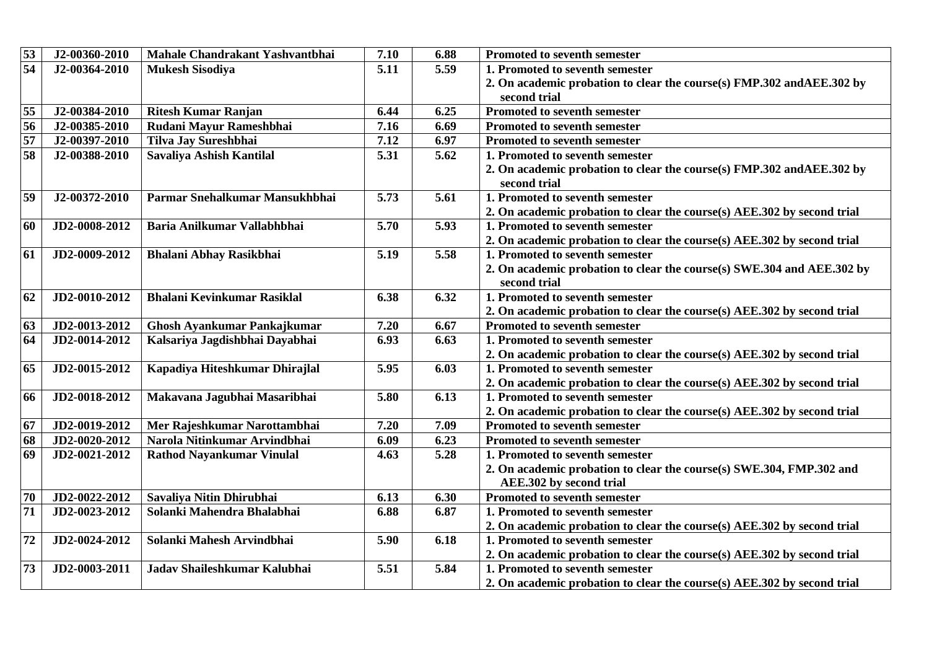| $\overline{53}$ | J2-00360-2010 | Mahale Chandrakant Yashvantbhai    | 7.10              | 6.88              | <b>Promoted to seventh semester</b>                                     |
|-----------------|---------------|------------------------------------|-------------------|-------------------|-------------------------------------------------------------------------|
| 54              | J2-00364-2010 | <b>Mukesh Sisodiya</b>             | $\overline{5.11}$ | 5.59              | 1. Promoted to seventh semester                                         |
|                 |               |                                    |                   |                   | 2. On academic probation to clear the course(s) FMP.302 and AEE.302 by  |
|                 |               |                                    |                   |                   | second trial                                                            |
| 55              | J2-00384-2010 | <b>Ritesh Kumar Ranjan</b>         | 6.44              | 6.25              | Promoted to seventh semester                                            |
| 56              | J2-00385-2010 | Rudani Mayur Rameshbhai            | 7.16              | 6.69              | Promoted to seventh semester                                            |
| 57              | J2-00397-2010 | Tilva Jay Sureshbhai               | 7.12              | 6.97              | Promoted to seventh semester                                            |
| $\overline{58}$ | J2-00388-2010 | Savaliya Ashish Kantilal           | 5.31              | 5.62              | 1. Promoted to seventh semester                                         |
|                 |               |                                    |                   |                   | 2. On academic probation to clear the course(s) FMP.302 and AEE.302 by  |
|                 |               |                                    |                   |                   | second trial                                                            |
| 59              | J2-00372-2010 | Parmar Snehalkumar Mansukhbhai     | 5.73              | 5.61              | 1. Promoted to seventh semester                                         |
|                 |               |                                    |                   |                   | 2. On academic probation to clear the course(s) AEE.302 by second trial |
| 60              | JD2-0008-2012 | Baria Anilkumar Vallabhbhai        | 5.70              | 5.93              | 1. Promoted to seventh semester                                         |
|                 |               |                                    |                   |                   | 2. On academic probation to clear the course(s) AEE.302 by second trial |
| 61              | JD2-0009-2012 | <b>Bhalani Abhay Rasikbhai</b>     | 5.19              | 5.58              | 1. Promoted to seventh semester                                         |
|                 |               |                                    |                   |                   | 2. On academic probation to clear the course(s) SWE.304 and AEE.302 by  |
|                 |               |                                    |                   |                   | second trial                                                            |
| 62              | JD2-0010-2012 | <b>Bhalani Kevinkumar Rasiklal</b> | 6.38              | 6.32              | 1. Promoted to seventh semester                                         |
|                 |               |                                    |                   |                   | 2. On academic probation to clear the course(s) AEE.302 by second trial |
| 63              | JD2-0013-2012 | Ghosh Ayankumar Pankajkumar        | 7.20              | 6.67              | <b>Promoted to seventh semester</b>                                     |
| $\overline{64}$ | JD2-0014-2012 | Kalsariya Jagdishbhai Dayabhai     | 6.93              | 6.63              | 1. Promoted to seventh semester                                         |
|                 |               |                                    |                   |                   | 2. On academic probation to clear the course(s) AEE.302 by second trial |
| 65              | JD2-0015-2012 | Kapadiya Hiteshkumar Dhirajlal     | 5.95              | 6.03              | 1. Promoted to seventh semester                                         |
|                 |               |                                    |                   |                   | 2. On academic probation to clear the course(s) AEE.302 by second trial |
| 66              | JD2-0018-2012 | Makavana Jagubhai Masaribhai       | 5.80              | 6.13              | 1. Promoted to seventh semester                                         |
|                 |               |                                    |                   |                   | 2. On academic probation to clear the course(s) AEE.302 by second trial |
| 67              | JD2-0019-2012 | Mer Rajeshkumar Narottambhai       | 7.20              | 7.09              | <b>Promoted to seventh semester</b>                                     |
| 68              | JD2-0020-2012 | Narola Nitinkumar Arvindbhai       | 6.09              | 6.23              | Promoted to seventh semester                                            |
| 69              | JD2-0021-2012 | <b>Rathod Nayankumar Vinulal</b>   | 4.63              | 5.28              | 1. Promoted to seventh semester                                         |
|                 |               |                                    |                   |                   | 2. On academic probation to clear the course(s) SWE.304, FMP.302 and    |
|                 |               |                                    |                   |                   | AEE.302 by second trial                                                 |
| 70              | JD2-0022-2012 | Savaliya Nitin Dhirubhai           | 6.13              | 6.30              | Promoted to seventh semester                                            |
| $\overline{71}$ | JD2-0023-2012 | Solanki Mahendra Bhalabhai         | 6.88              | 6.87              | 1. Promoted to seventh semester                                         |
|                 |               |                                    |                   |                   | 2. On academic probation to clear the course(s) AEE.302 by second trial |
| 72              | JD2-0024-2012 | Solanki Mahesh Arvindbhai          | 5.90              | 6.18              | 1. Promoted to seventh semester                                         |
|                 |               |                                    |                   |                   | 2. On academic probation to clear the course(s) AEE.302 by second trial |
| 73              | JD2-0003-2011 | Jadav Shaileshkumar Kalubhai       | 5.51              | $\overline{5.84}$ | 1. Promoted to seventh semester                                         |
|                 |               |                                    |                   |                   | 2. On academic probation to clear the course(s) AEE.302 by second trial |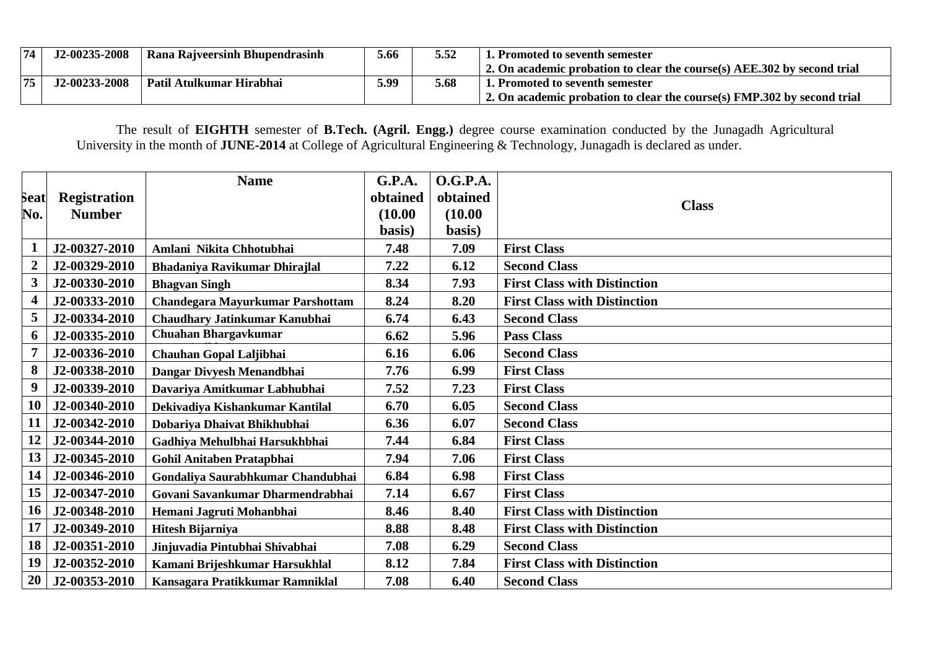| 74 | J2-00235-2008 | Rana Raiveersinh Bhupendrasinh | 5.66 | 5.52 | Promoted to seventh semester                                            |
|----|---------------|--------------------------------|------|------|-------------------------------------------------------------------------|
|    |               |                                |      |      | 2. On academic probation to clear the course(s) AEE.302 by second trial |
| 75 | J2-00233-2008 | Patil Atulkumar Hirabhai       | 5.99 | 5.68 | . Promoted to seventh semester                                          |
|    |               |                                |      |      | 2. On academic probation to clear the course(s) FMP.302 by second trial |

The result of **EIGHTH** semester of **B.Tech. (Agril. Engg.)** degree course examination conducted by the Junagadh Agricultural University in the month of **JUNE-2014** at College of Agricultural Engineering & Technology, Junagadh is declared as under.

|                         |                     | <b>Name</b>                             | <b>G.P.A.</b> | <b>O.G.P.A.</b> |                                     |
|-------------------------|---------------------|-----------------------------------------|---------------|-----------------|-------------------------------------|
| Seat                    | <b>Registration</b> |                                         | obtained      | obtained        | <b>Class</b>                        |
| No.                     | <b>Number</b>       |                                         | (10.00)       | (10.00)         |                                     |
|                         |                     |                                         | basis)        | basis)          |                                     |
|                         | J2-00327-2010       | Amlani Nikita Chhotubhai                | 7.48          | 7.09            | <b>First Class</b>                  |
| $\boldsymbol{2}$        | J2-00329-2010       | Bhadaniya Ravikumar Dhirajlal           | 7.22          | 6.12            | <b>Second Class</b>                 |
| $\mathbf{3}$            | J2-00330-2010       | <b>Bhagvan Singh</b>                    | 8.34          | 7.93            | <b>First Class with Distinction</b> |
| $\overline{\mathbf{4}}$ | J2-00333-2010       | <b>Chandegara Mayurkumar Parshottam</b> | 8.24          | 8.20            | <b>First Class with Distinction</b> |
| 5                       | J2-00334-2010       | Chaudhary Jatinkumar Kanubhai           | 6.74          | 6.43            | <b>Second Class</b>                 |
| 6                       | J2-00335-2010       | <b>Chuahan Bhargavkumar</b>             | 6.62          | 5.96            | <b>Pass Class</b>                   |
| 7                       | J2-00336-2010       | Chauhan Gopal Laljibhai                 | 6.16          | 6.06            | <b>Second Class</b>                 |
| 8                       | J2-00338-2010       | Dangar Divyesh Menandbhai               | 7.76          | 6.99            | <b>First Class</b>                  |
| $\boldsymbol{9}$        | J2-00339-2010       | Davariya Amitkumar Labhubhai            | 7.52          | 7.23            | <b>First Class</b>                  |
| 10                      | J2-00340-2010       | Dekivadiya Kishankumar Kantilal         | 6.70          | 6.05            | <b>Second Class</b>                 |
| 11                      | J2-00342-2010       | Dobariya Dhaivat Bhikhubhai             | 6.36          | 6.07            | <b>Second Class</b>                 |
| 12                      | J2-00344-2010       | Gadhiya Mehulbhai Harsukhbhai           | 7.44          | 6.84            | <b>First Class</b>                  |
| 13                      | J2-00345-2010       | Gohil Anitaben Pratapbhai               | 7.94          | 7.06            | <b>First Class</b>                  |
| 14                      | J2-00346-2010       | Gondaliya Saurabhkumar Chandubhai       | 6.84          | 6.98            | <b>First Class</b>                  |
| 15                      | J2-00347-2010       | Govani Savankumar Dharmendrabhai        | 7.14          | 6.67            | <b>First Class</b>                  |
| 16                      | J2-00348-2010       | Hemani Jagruti Mohanbhai                | 8.46          | 8.40            | <b>First Class with Distinction</b> |
| 17                      | J2-00349-2010       | Hitesh Bijarniya                        | 8.88          | 8.48            | <b>First Class with Distinction</b> |
| 18                      | J2-00351-2010       | Jinjuvadia Pintubhai Shivabhai          | 7.08          | 6.29            | <b>Second Class</b>                 |
| 19                      | J2-00352-2010       | Kamani Brijeshkumar Harsukhlal          | 8.12          | 7.84            | <b>First Class with Distinction</b> |
| 20                      | J2-00353-2010       | Kansagara Pratikkumar Ramniklal         | 7.08          | 6.40            | <b>Second Class</b>                 |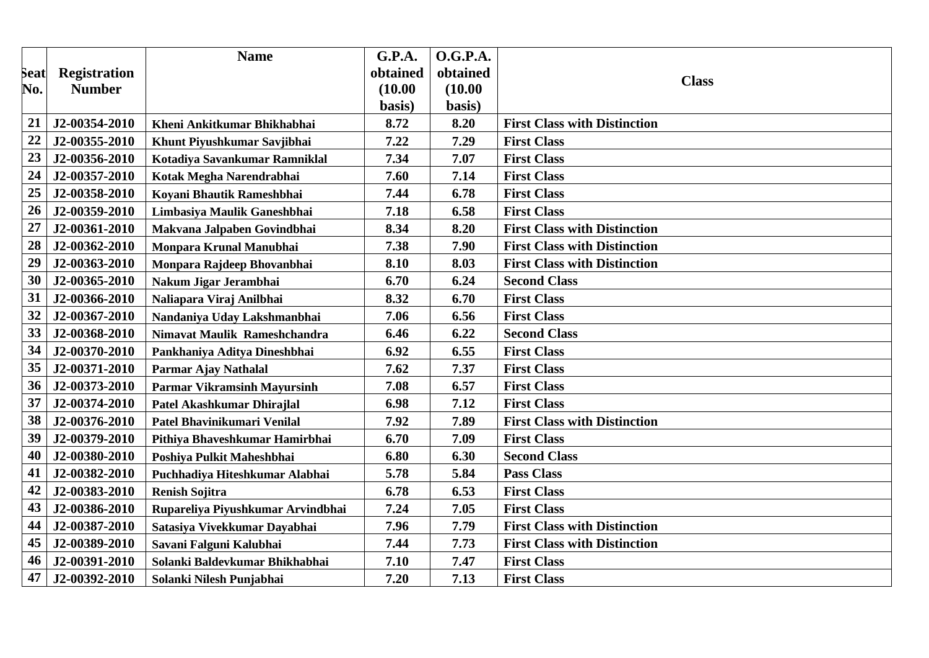|             |                     | <b>Name</b>                        | G.P.A.   | <b>O.G.P.A.</b> |                                     |
|-------------|---------------------|------------------------------------|----------|-----------------|-------------------------------------|
| <b>Seat</b> | <b>Registration</b> |                                    | obtained | obtained        | <b>Class</b>                        |
| No.         | <b>Number</b>       |                                    | (10.00)  | (10.00)         |                                     |
|             |                     |                                    | basis)   | basis)          |                                     |
| 21          | J2-00354-2010       | Kheni Ankitkumar Bhikhabhai        | 8.72     | 8.20            | <b>First Class with Distinction</b> |
| 22          | J2-00355-2010       | Khunt Piyushkumar Savjibhai        | 7.22     | 7.29            | <b>First Class</b>                  |
| 23          | J2-00356-2010       | Kotadiya Savankumar Ramniklal      | 7.34     | 7.07            | <b>First Class</b>                  |
| 24          | J2-00357-2010       | Kotak Megha Narendrabhai           | 7.60     | 7.14            | <b>First Class</b>                  |
| 25          | J2-00358-2010       | Koyani Bhautik Rameshbhai          | 7.44     | 6.78            | <b>First Class</b>                  |
| 26          | J2-00359-2010       | Limbasiya Maulik Ganeshbhai        | 7.18     | 6.58            | <b>First Class</b>                  |
| 27          | J2-00361-2010       | Makvana Jalpaben Govindbhai        | 8.34     | 8.20            | <b>First Class with Distinction</b> |
| 28          | J2-00362-2010       | Monpara Krunal Manubhai            | 7.38     | 7.90            | <b>First Class with Distinction</b> |
| 29          | J2-00363-2010       | Monpara Rajdeep Bhovanbhai         | 8.10     | 8.03            | <b>First Class with Distinction</b> |
| 30          | J2-00365-2010       | Nakum Jigar Jerambhai              | 6.70     | 6.24            | <b>Second Class</b>                 |
| 31          | J2-00366-2010       | Naliapara Viraj Anilbhai           | 8.32     | 6.70            | <b>First Class</b>                  |
| 32          | J2-00367-2010       | Nandaniya Uday Lakshmanbhai        | 7.06     | 6.56            | <b>First Class</b>                  |
| 33          | J2-00368-2010       | Nimavat Maulik Rameshchandra       | 6.46     | 6.22            | <b>Second Class</b>                 |
| 34          | J2-00370-2010       | Pankhaniya Aditya Dineshbhai       | 6.92     | 6.55            | <b>First Class</b>                  |
| 35          | J2-00371-2010       | Parmar Ajay Nathalal               | 7.62     | 7.37            | <b>First Class</b>                  |
| 36          | J2-00373-2010       | <b>Parmar Vikramsinh Mayursinh</b> | 7.08     | 6.57            | <b>First Class</b>                  |
| 37          | J2-00374-2010       | Patel Akashkumar Dhirajlal         | 6.98     | 7.12            | <b>First Class</b>                  |
| 38          | J2-00376-2010       | Patel Bhavinikumari Venilal        | 7.92     | 7.89            | <b>First Class with Distinction</b> |
| 39          | J2-00379-2010       | Pithiya Bhaveshkumar Hamirbhai     | 6.70     | 7.09            | <b>First Class</b>                  |
| 40          | J2-00380-2010       | Poshiya Pulkit Maheshbhai          | 6.80     | 6.30            | <b>Second Class</b>                 |
| 41          | J2-00382-2010       | Puchhadiya Hiteshkumar Alabhai     | 5.78     | 5.84            | <b>Pass Class</b>                   |
| 42          | J2-00383-2010       | <b>Renish Sojitra</b>              | 6.78     | 6.53            | <b>First Class</b>                  |
| 43          | J2-00386-2010       | Rupareliya Piyushkumar Arvindbhai  | 7.24     | 7.05            | <b>First Class</b>                  |
| 44          | J2-00387-2010       | Satasiya Vivekkumar Dayabhai       | 7.96     | 7.79            | <b>First Class with Distinction</b> |
| 45          | J2-00389-2010       | Savani Falguni Kalubhai            | 7.44     | 7.73            | <b>First Class with Distinction</b> |
| 46          | J2-00391-2010       | Solanki Baldevkumar Bhikhabhai     | 7.10     | 7.47            | <b>First Class</b>                  |
| 47          | J2-00392-2010       | Solanki Nilesh Punjabhai           | 7.20     | 7.13            | <b>First Class</b>                  |